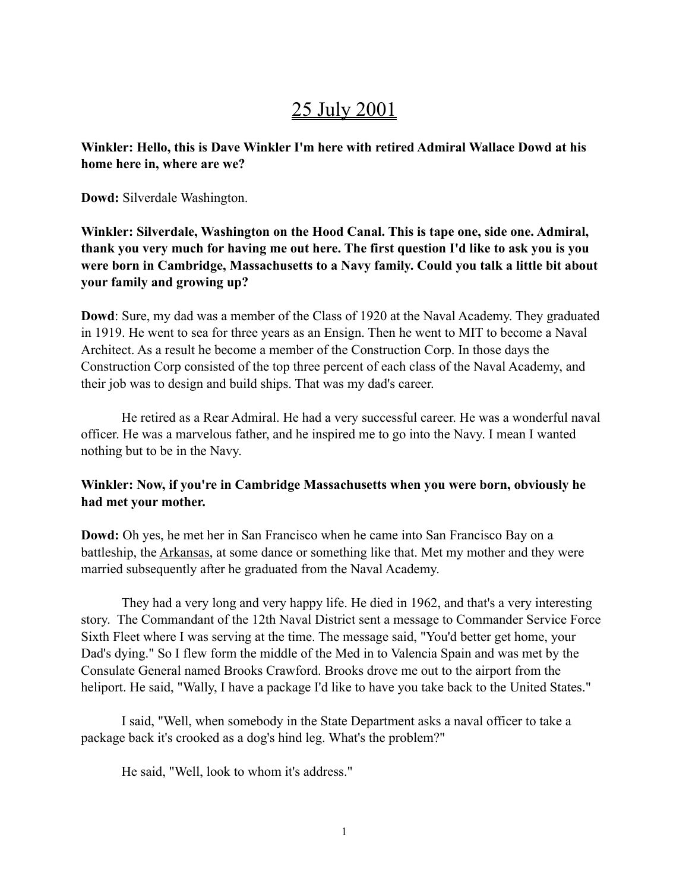# 25 July 2001

**Winkler: Hello, this is Dave Winkler I'm here with retired Admiral Wallace Dowd at his home here in, where are we?**

**Dowd:** Silverdale Washington.

**Winkler: Silverdale, Washington on the Hood Canal. This is tape one, side one. Admiral, thank you very much for having me out here. The first question I'd like to ask you is you were born in Cambridge, Massachusetts to a Navy family. Could you talk a little bit about your family and growing up?**

**Dowd**: Sure, my dad was a member of the Class of 1920 at the Naval Academy. They graduated in 1919. He went to sea for three years as an Ensign. Then he went to MIT to become a Naval Architect. As a result he become a member of the Construction Corp. In those days the Construction Corp consisted of the top three percent of each class of the Naval Academy, and their job was to design and build ships. That was my dad's career.

He retired as a Rear Admiral. He had a very successful career. He was a wonderful naval officer. He was a marvelous father, and he inspired me to go into the Navy. I mean I wanted nothing but to be in the Navy.

# **Winkler: Now, if you're in Cambridge Massachusetts when you were born, obviously he had met your mother.**

**Dowd:** Oh yes, he met her in San Francisco when he came into San Francisco Bay on a battleship, the Arkansas, at some dance or something like that. Met my mother and they were married subsequently after he graduated from the Naval Academy.

They had a very long and very happy life. He died in 1962, and that's a very interesting story. The Commandant of the 12th Naval District sent a message to Commander Service Force Sixth Fleet where I was serving at the time. The message said, "You'd better get home, your Dad's dying." So I flew form the middle of the Med in to Valencia Spain and was met by the Consulate General named Brooks Crawford. Brooks drove me out to the airport from the heliport. He said, "Wally, I have a package I'd like to have you take back to the United States."

I said, "Well, when somebody in the State Department asks a naval officer to take a package back it's crooked as a dog's hind leg. What's the problem?"

He said, "Well, look to whom it's address."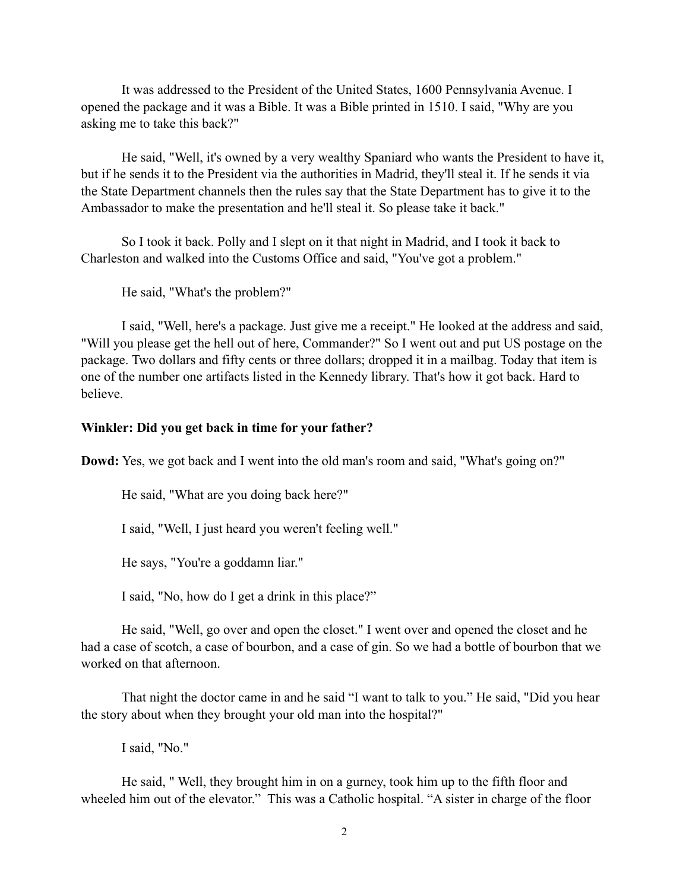It was addressed to the President of the United States, 1600 Pennsylvania Avenue. I opened the package and it was a Bible. It was a Bible printed in 1510. I said, "Why are you asking me to take this back?"

He said, "Well, it's owned by a very wealthy Spaniard who wants the President to have it, but if he sends it to the President via the authorities in Madrid, they'll steal it. If he sends it via the State Department channels then the rules say that the State Department has to give it to the Ambassador to make the presentation and he'll steal it. So please take it back."

So I took it back. Polly and I slept on it that night in Madrid, and I took it back to Charleston and walked into the Customs Office and said, "You've got a problem."

He said, "What's the problem?"

I said, "Well, here's a package. Just give me a receipt." He looked at the address and said, "Will you please get the hell out of here, Commander?" So I went out and put US postage on the package. Two dollars and fifty cents or three dollars; dropped it in a mailbag. Today that item is one of the number one artifacts listed in the Kennedy library. That's how it got back. Hard to believe.

#### **Winkler: Did you get back in time for your father?**

**Dowd:** Yes, we got back and I went into the old man's room and said, "What's going on?"

He said, "What are you doing back here?"

I said, "Well, I just heard you weren't feeling well."

He says, "You're a goddamn liar."

I said, "No, how do I get a drink in this place?"

He said, "Well, go over and open the closet." I went over and opened the closet and he had a case of scotch, a case of bourbon, and a case of gin. So we had a bottle of bourbon that we worked on that afternoon.

That night the doctor came in and he said "I want to talk to you." He said, "Did you hear the story about when they brought your old man into the hospital?"

I said, "No."

He said, " Well, they brought him in on a gurney, took him up to the fifth floor and wheeled him out of the elevator." This was a Catholic hospital. "A sister in charge of the floor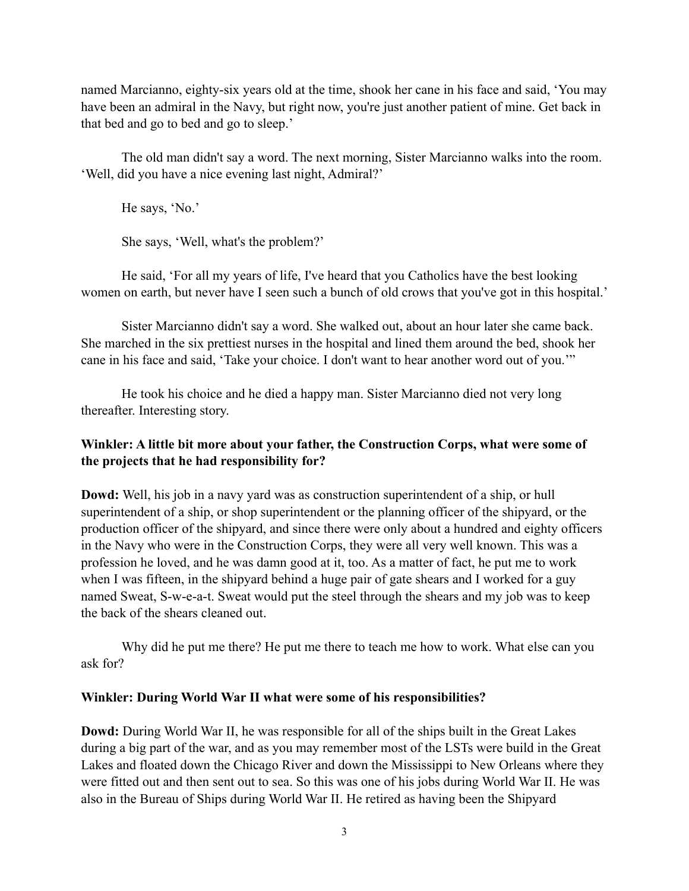named Marcianno, eighty-six years old at the time, shook her cane in his face and said, 'You may have been an admiral in the Navy, but right now, you're just another patient of mine. Get back in that bed and go to bed and go to sleep.'

The old man didn't say a word. The next morning, Sister Marcianno walks into the room. 'Well, did you have a nice evening last night, Admiral?'

He says, 'No.'

She says, 'Well, what's the problem?'

He said, 'For all my years of life, I've heard that you Catholics have the best looking women on earth, but never have I seen such a bunch of old crows that you've got in this hospital.'

Sister Marcianno didn't say a word. She walked out, about an hour later she came back. She marched in the six prettiest nurses in the hospital and lined them around the bed, shook her cane in his face and said, 'Take your choice. I don't want to hear another word out of you.'"

He took his choice and he died a happy man. Sister Marcianno died not very long thereafter. Interesting story.

# **Winkler: A little bit more about your father, the Construction Corps, what were some of the projects that he had responsibility for?**

**Dowd:** Well, his job in a navy yard was as construction superintendent of a ship, or hull superintendent of a ship, or shop superintendent or the planning officer of the shipyard, or the production officer of the shipyard, and since there were only about a hundred and eighty officers in the Navy who were in the Construction Corps, they were all very well known. This was a profession he loved, and he was damn good at it, too. As a matter of fact, he put me to work when I was fifteen, in the shipyard behind a huge pair of gate shears and I worked for a guy named Sweat, S-w-e-a-t. Sweat would put the steel through the shears and my job was to keep the back of the shears cleaned out.

Why did he put me there? He put me there to teach me how to work. What else can you ask for?

## **Winkler: During World War II what were some of his responsibilities?**

**Dowd:** During World War II, he was responsible for all of the ships built in the Great Lakes during a big part of the war, and as you may remember most of the LSTs were build in the Great Lakes and floated down the Chicago River and down the Mississippi to New Orleans where they were fitted out and then sent out to sea. So this was one of his jobs during World War II. He was also in the Bureau of Ships during World War II. He retired as having been the Shipyard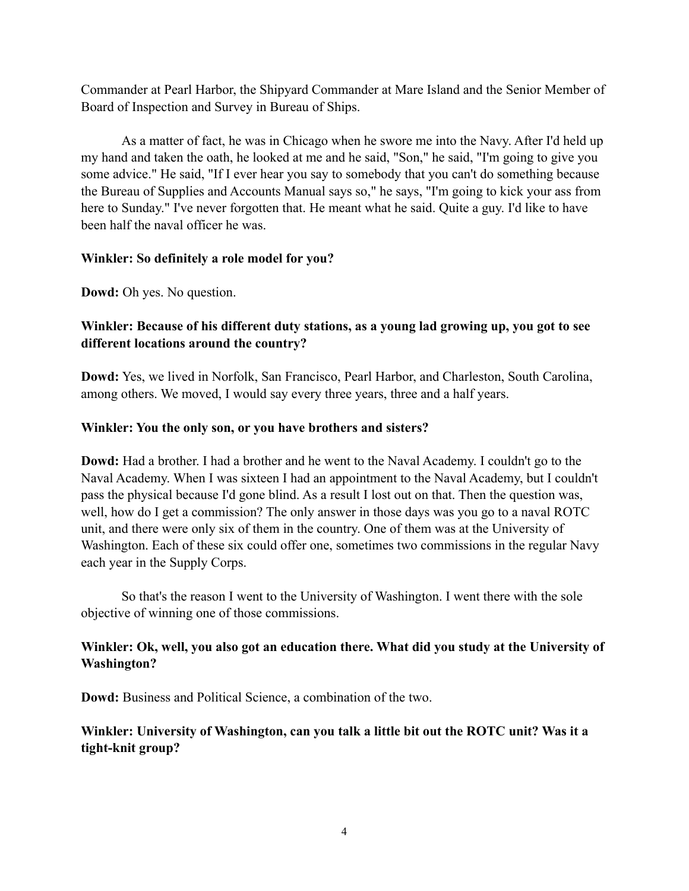Commander at Pearl Harbor, the Shipyard Commander at Mare Island and the Senior Member of Board of Inspection and Survey in Bureau of Ships.

As a matter of fact, he was in Chicago when he swore me into the Navy. After I'd held up my hand and taken the oath, he looked at me and he said, "Son," he said, "I'm going to give you some advice." He said, "If I ever hear you say to somebody that you can't do something because the Bureau of Supplies and Accounts Manual says so," he says, "I'm going to kick your ass from here to Sunday." I've never forgotten that. He meant what he said. Quite a guy. I'd like to have been half the naval officer he was.

#### **Winkler: So definitely a role model for you?**

**Dowd:** Oh yes. No question.

# **Winkler: Because of his different duty stations, as a young lad growing up, you got to see different locations around the country?**

**Dowd:** Yes, we lived in Norfolk, San Francisco, Pearl Harbor, and Charleston, South Carolina, among others. We moved, I would say every three years, three and a half years.

#### **Winkler: You the only son, or you have brothers and sisters?**

**Dowd:** Had a brother. I had a brother and he went to the Naval Academy. I couldn't go to the Naval Academy. When I was sixteen I had an appointment to the Naval Academy, but I couldn't pass the physical because I'd gone blind. As a result I lost out on that. Then the question was, well, how do I get a commission? The only answer in those days was you go to a naval ROTC unit, and there were only six of them in the country. One of them was at the University of Washington. Each of these six could offer one, sometimes two commissions in the regular Navy each year in the Supply Corps.

So that's the reason I went to the University of Washington. I went there with the sole objective of winning one of those commissions.

# **Winkler: Ok, well, you also got an education there. What did you study at the University of Washington?**

**Dowd:** Business and Political Science, a combination of the two.

# **Winkler: University of Washington, can you talk a little bit out the ROTC unit? Was it a tight-knit group?**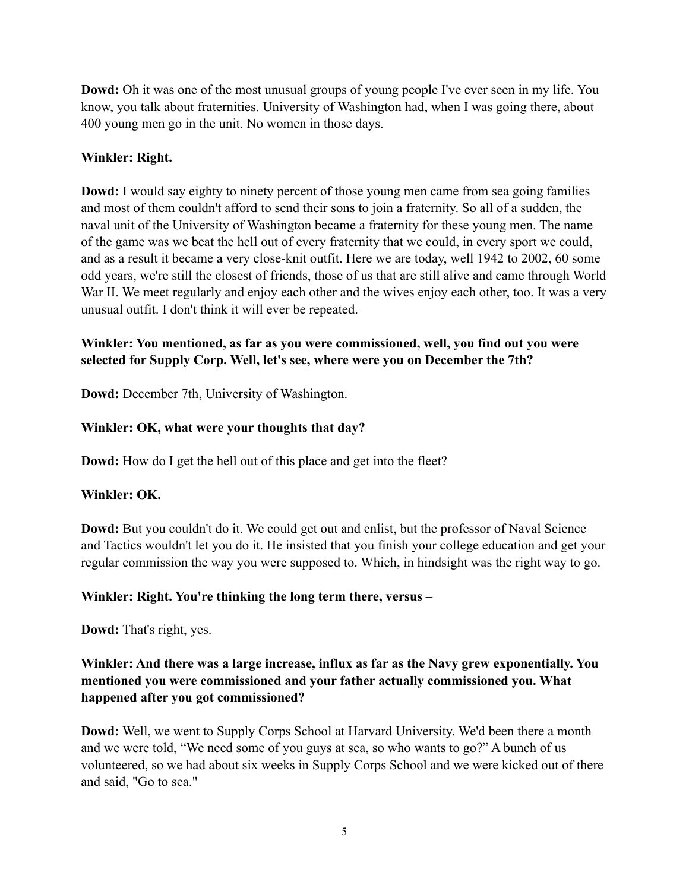**Dowd:** Oh it was one of the most unusual groups of young people I've ever seen in my life. You know, you talk about fraternities. University of Washington had, when I was going there, about 400 young men go in the unit. No women in those days.

## **Winkler: Right.**

**Dowd:** I would say eighty to ninety percent of those young men came from sea going families and most of them couldn't afford to send their sons to join a fraternity. So all of a sudden, the naval unit of the University of Washington became a fraternity for these young men. The name of the game was we beat the hell out of every fraternity that we could, in every sport we could, and as a result it became a very close-knit outfit. Here we are today, well 1942 to 2002, 60 some odd years, we're still the closest of friends, those of us that are still alive and came through World War II. We meet regularly and enjoy each other and the wives enjoy each other, too. It was a very unusual outfit. I don't think it will ever be repeated.

# **Winkler: You mentioned, as far as you were commissioned, well, you find out you were selected for Supply Corp. Well, let's see, where were you on December the 7th?**

**Dowd:** December 7th, University of Washington.

# **Winkler: OK, what were your thoughts that day?**

**Dowd:** How do I get the hell out of this place and get into the fleet?

## **Winkler: OK.**

**Dowd:** But you couldn't do it. We could get out and enlist, but the professor of Naval Science and Tactics wouldn't let you do it. He insisted that you finish your college education and get your regular commission the way you were supposed to. Which, in hindsight was the right way to go.

## **Winkler: Right. You're thinking the long term there, versus –**

**Dowd:** That's right, yes.

# **Winkler: And there was a large increase, influx as far as the Navy grew exponentially. You mentioned you were commissioned and your father actually commissioned you. What happened after you got commissioned?**

**Dowd:** Well, we went to Supply Corps School at Harvard University. We'd been there a month and we were told, "We need some of you guys at sea, so who wants to go?" A bunch of us volunteered, so we had about six weeks in Supply Corps School and we were kicked out of there and said, "Go to sea."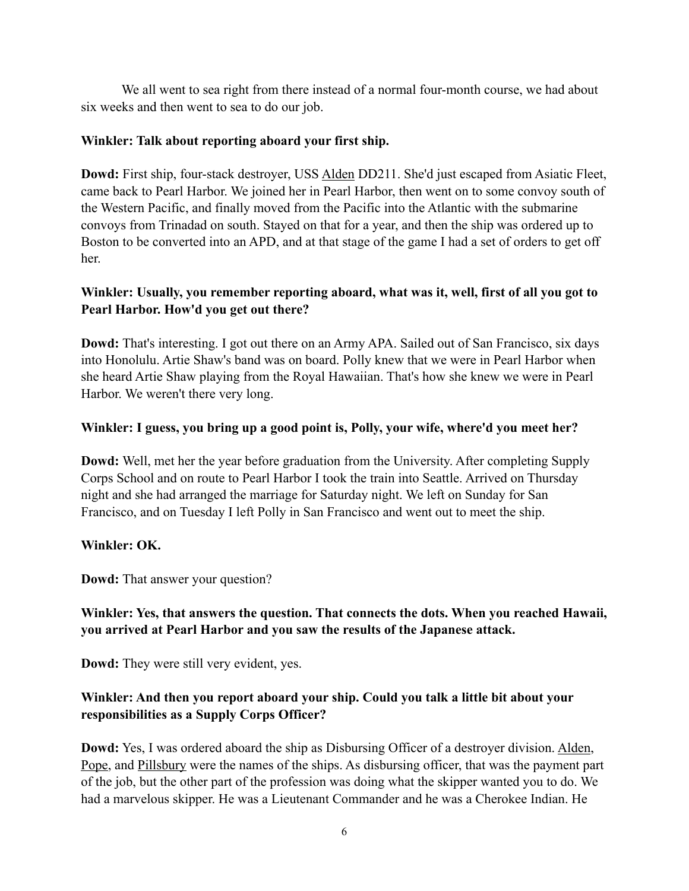We all went to sea right from there instead of a normal four-month course, we had about six weeks and then went to sea to do our job.

## **Winkler: Talk about reporting aboard your first ship.**

**Dowd:** First ship, four-stack destroyer, USS Alden DD211. She'd just escaped from Asiatic Fleet, came back to Pearl Harbor. We joined her in Pearl Harbor, then went on to some convoy south of the Western Pacific, and finally moved from the Pacific into the Atlantic with the submarine convoys from Trinadad on south. Stayed on that for a year, and then the ship was ordered up to Boston to be converted into an APD, and at that stage of the game I had a set of orders to get off her.

# **Winkler: Usually, you remember reporting aboard, what was it, well, first of all you got to Pearl Harbor. How'd you get out there?**

**Dowd:** That's interesting. I got out there on an Army APA. Sailed out of San Francisco, six days into Honolulu. Artie Shaw's band was on board. Polly knew that we were in Pearl Harbor when she heard Artie Shaw playing from the Royal Hawaiian. That's how she knew we were in Pearl Harbor. We weren't there very long.

# **Winkler: I guess, you bring up a good point is, Polly, your wife, where'd you meet her?**

**Dowd:** Well, met her the year before graduation from the University. After completing Supply Corps School and on route to Pearl Harbor I took the train into Seattle. Arrived on Thursday night and she had arranged the marriage for Saturday night. We left on Sunday for San Francisco, and on Tuesday I left Polly in San Francisco and went out to meet the ship.

## **Winkler: OK.**

**Dowd:** That answer your question?

# **Winkler: Yes, that answers the question. That connects the dots. When you reached Hawaii, you arrived at Pearl Harbor and you saw the results of the Japanese attack.**

**Dowd:** They were still very evident, yes.

# **Winkler: And then you report aboard your ship. Could you talk a little bit about your responsibilities as a Supply Corps Officer?**

**Dowd:** Yes, I was ordered aboard the ship as Disbursing Officer of a destroyer division. Alden, Pope, and Pillsbury were the names of the ships. As disbursing officer, that was the payment part of the job, but the other part of the profession was doing what the skipper wanted you to do. We had a marvelous skipper. He was a Lieutenant Commander and he was a Cherokee Indian. He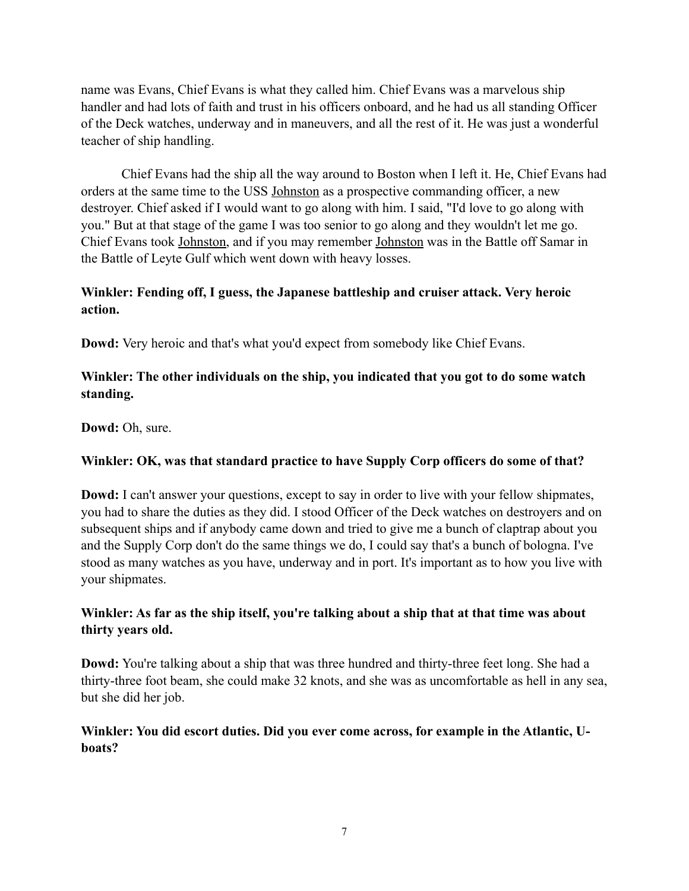name was Evans, Chief Evans is what they called him. Chief Evans was a marvelous ship handler and had lots of faith and trust in his officers onboard, and he had us all standing Officer of the Deck watches, underway and in maneuvers, and all the rest of it. He was just a wonderful teacher of ship handling.

Chief Evans had the ship all the way around to Boston when I left it. He, Chief Evans had orders at the same time to the USS Johnston as a prospective commanding officer, a new destroyer. Chief asked if I would want to go along with him. I said, "I'd love to go along with you." But at that stage of the game I was too senior to go along and they wouldn't let me go. Chief Evans took Johnston, and if you may remember Johnston was in the Battle off Samar in the Battle of Leyte Gulf which went down with heavy losses.

# **Winkler: Fending off, I guess, the Japanese battleship and cruiser attack. Very heroic action.**

**Dowd:** Very heroic and that's what you'd expect from somebody like Chief Evans.

# **Winkler: The other individuals on the ship, you indicated that you got to do some watch standing.**

**Dowd:** Oh, sure.

# **Winkler: OK, was that standard practice to have Supply Corp officers do some of that?**

**Dowd:** I can't answer your questions, except to say in order to live with your fellow shipmates, you had to share the duties as they did. I stood Officer of the Deck watches on destroyers and on subsequent ships and if anybody came down and tried to give me a bunch of claptrap about you and the Supply Corp don't do the same things we do, I could say that's a bunch of bologna. I've stood as many watches as you have, underway and in port. It's important as to how you live with your shipmates.

# **Winkler: As far as the ship itself, you're talking about a ship that at that time was about thirty years old.**

**Dowd:** You're talking about a ship that was three hundred and thirty-three feet long. She had a thirty-three foot beam, she could make 32 knots, and she was as uncomfortable as hell in any sea, but she did her job.

# **Winkler: You did escort duties. Did you ever come across, for example in the Atlantic, Uboats?**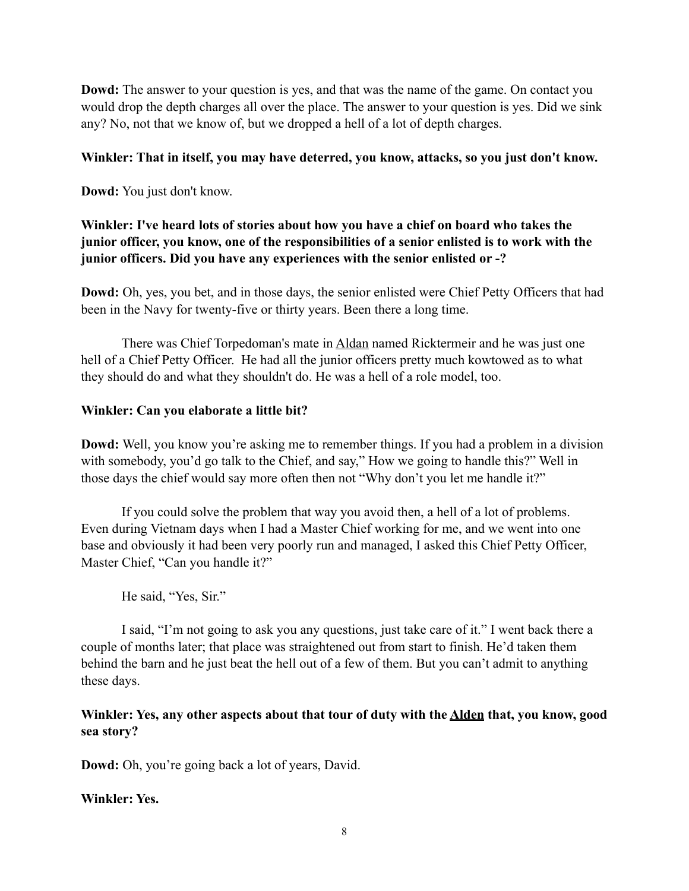**Dowd:** The answer to your question is yes, and that was the name of the game. On contact you would drop the depth charges all over the place. The answer to your question is yes. Did we sink any? No, not that we know of, but we dropped a hell of a lot of depth charges.

#### **Winkler: That in itself, you may have deterred, you know, attacks, so you just don't know.**

**Dowd:** You just don't know.

# **Winkler: I've heard lots of stories about how you have a chief on board who takes the junior officer, you know, one of the responsibilities of a senior enlisted is to work with the junior officers. Did you have any experiences with the senior enlisted or -?**

**Dowd:** Oh, yes, you bet, and in those days, the senior enlisted were Chief Petty Officers that had been in the Navy for twenty-five or thirty years. Been there a long time.

There was Chief Torpedoman's mate in Aldan named Ricktermeir and he was just one hell of a Chief Petty Officer. He had all the junior officers pretty much kowtowed as to what they should do and what they shouldn't do. He was a hell of a role model, too.

#### **Winkler: Can you elaborate a little bit?**

**Dowd:** Well, you know you're asking me to remember things. If you had a problem in a division with somebody, you'd go talk to the Chief, and say," How we going to handle this?" Well in those days the chief would say more often then not "Why don't you let me handle it?"

If you could solve the problem that way you avoid then, a hell of a lot of problems. Even during Vietnam days when I had a Master Chief working for me, and we went into one base and obviously it had been very poorly run and managed, I asked this Chief Petty Officer, Master Chief, "Can you handle it?"

He said, "Yes, Sir."

I said, "I'm not going to ask you any questions, just take care of it." I went back there a couple of months later; that place was straightened out from start to finish. He'd taken them behind the barn and he just beat the hell out of a few of them. But you can't admit to anything these days.

# **Winkler: Yes, any other aspects about that tour of duty with the Alden that, you know, good sea story?**

**Dowd:** Oh, you're going back a lot of years, David.

**Winkler: Yes.**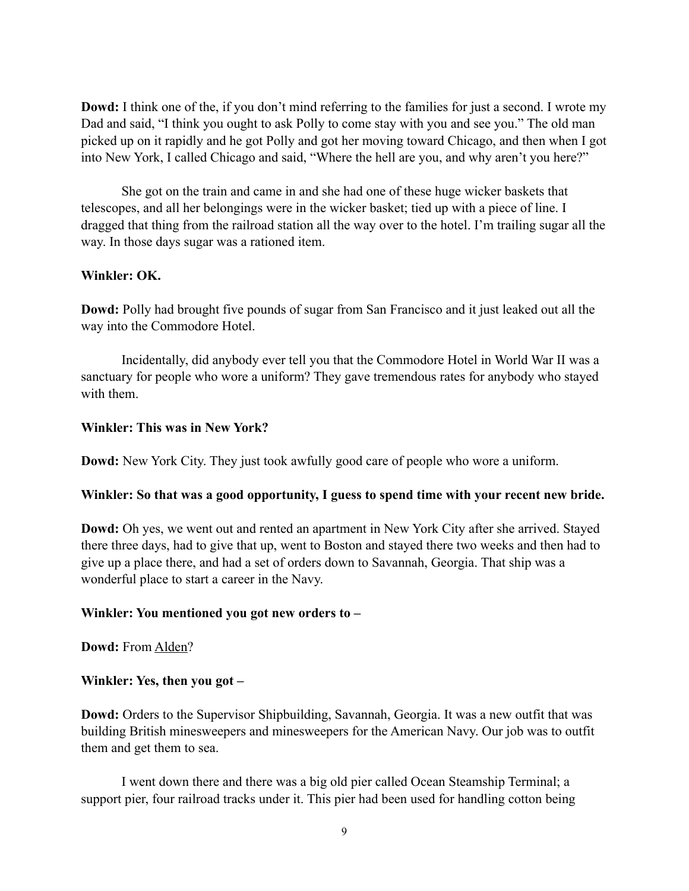**Dowd:** I think one of the, if you don't mind referring to the families for just a second. I wrote my Dad and said, "I think you ought to ask Polly to come stay with you and see you." The old man picked up on it rapidly and he got Polly and got her moving toward Chicago, and then when I got into New York, I called Chicago and said, "Where the hell are you, and why aren't you here?"

She got on the train and came in and she had one of these huge wicker baskets that telescopes, and all her belongings were in the wicker basket; tied up with a piece of line. I dragged that thing from the railroad station all the way over to the hotel. I'm trailing sugar all the way. In those days sugar was a rationed item.

#### **Winkler: OK.**

**Dowd:** Polly had brought five pounds of sugar from San Francisco and it just leaked out all the way into the Commodore Hotel.

Incidentally, did anybody ever tell you that the Commodore Hotel in World War II was a sanctuary for people who wore a uniform? They gave tremendous rates for anybody who stayed with them.

#### **Winkler: This was in New York?**

**Dowd:** New York City. They just took awfully good care of people who wore a uniform.

#### **Winkler: So that was a good opportunity, I guess to spend time with your recent new bride.**

**Dowd:** Oh yes, we went out and rented an apartment in New York City after she arrived. Stayed there three days, had to give that up, went to Boston and stayed there two weeks and then had to give up a place there, and had a set of orders down to Savannah, Georgia. That ship was a wonderful place to start a career in the Navy.

#### **Winkler: You mentioned you got new orders to –**

**Dowd:** From Alden?

#### **Winkler: Yes, then you got –**

**Dowd:** Orders to the Supervisor Shipbuilding, Savannah, Georgia. It was a new outfit that was building British minesweepers and minesweepers for the American Navy. Our job was to outfit them and get them to sea.

I went down there and there was a big old pier called Ocean Steamship Terminal; a support pier, four railroad tracks under it. This pier had been used for handling cotton being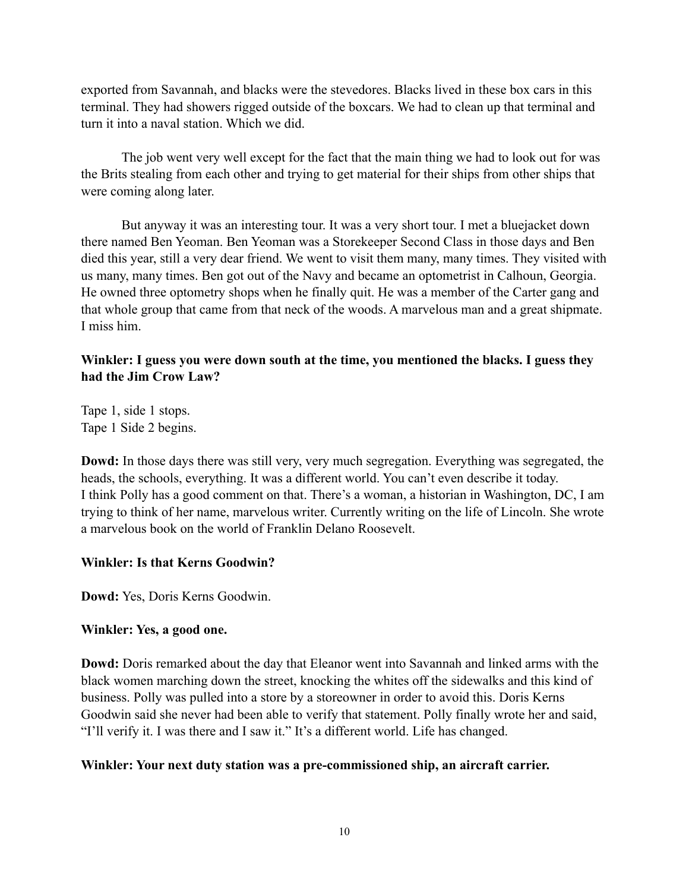exported from Savannah, and blacks were the stevedores. Blacks lived in these box cars in this terminal. They had showers rigged outside of the boxcars. We had to clean up that terminal and turn it into a naval station. Which we did.

The job went very well except for the fact that the main thing we had to look out for was the Brits stealing from each other and trying to get material for their ships from other ships that were coming along later.

But anyway it was an interesting tour. It was a very short tour. I met a bluejacket down there named Ben Yeoman. Ben Yeoman was a Storekeeper Second Class in those days and Ben died this year, still a very dear friend. We went to visit them many, many times. They visited with us many, many times. Ben got out of the Navy and became an optometrist in Calhoun, Georgia. He owned three optometry shops when he finally quit. He was a member of the Carter gang and that whole group that came from that neck of the woods. A marvelous man and a great shipmate. I miss him.

## **Winkler: I guess you were down south at the time, you mentioned the blacks. I guess they had the Jim Crow Law?**

Tape 1, side 1 stops. Tape 1 Side 2 begins.

**Dowd:** In those days there was still very, very much segregation. Everything was segregated, the heads, the schools, everything. It was a different world. You can't even describe it today. I think Polly has a good comment on that. There's a woman, a historian in Washington, DC, I am trying to think of her name, marvelous writer. Currently writing on the life of Lincoln. She wrote a marvelous book on the world of Franklin Delano Roosevelt.

## **Winkler: Is that Kerns Goodwin?**

**Dowd:** Yes, Doris Kerns Goodwin.

## **Winkler: Yes, a good one.**

**Dowd:** Doris remarked about the day that Eleanor went into Savannah and linked arms with the black women marching down the street, knocking the whites off the sidewalks and this kind of business. Polly was pulled into a store by a storeowner in order to avoid this. Doris Kerns Goodwin said she never had been able to verify that statement. Polly finally wrote her and said, "I'll verify it. I was there and I saw it." It's a different world. Life has changed.

## **Winkler: Your next duty station was a pre-commissioned ship, an aircraft carrier.**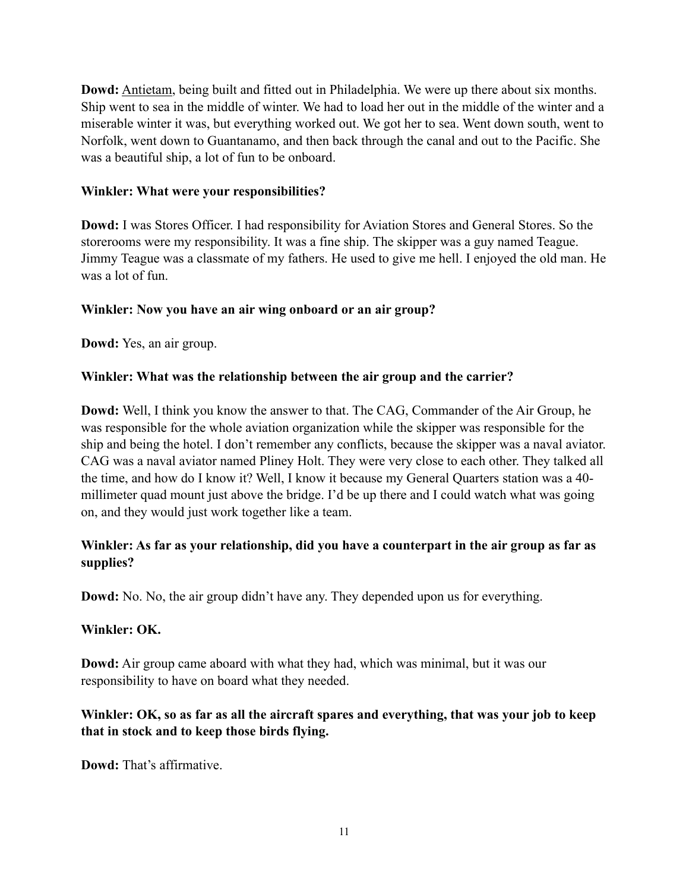**Dowd:** Antietam, being built and fitted out in Philadelphia. We were up there about six months. Ship went to sea in the middle of winter. We had to load her out in the middle of the winter and a miserable winter it was, but everything worked out. We got her to sea. Went down south, went to Norfolk, went down to Guantanamo, and then back through the canal and out to the Pacific. She was a beautiful ship, a lot of fun to be onboard.

## **Winkler: What were your responsibilities?**

**Dowd:** I was Stores Officer. I had responsibility for Aviation Stores and General Stores. So the storerooms were my responsibility. It was a fine ship. The skipper was a guy named Teague. Jimmy Teague was a classmate of my fathers. He used to give me hell. I enjoyed the old man. He was a lot of fun.

# **Winkler: Now you have an air wing onboard or an air group?**

**Dowd:** Yes, an air group.

# **Winkler: What was the relationship between the air group and the carrier?**

**Dowd:** Well, I think you know the answer to that. The CAG, Commander of the Air Group, he was responsible for the whole aviation organization while the skipper was responsible for the ship and being the hotel. I don't remember any conflicts, because the skipper was a naval aviator. CAG was a naval aviator named Pliney Holt. They were very close to each other. They talked all the time, and how do I know it? Well, I know it because my General Quarters station was a 40 millimeter quad mount just above the bridge. I'd be up there and I could watch what was going on, and they would just work together like a team.

# **Winkler: As far as your relationship, did you have a counterpart in the air group as far as supplies?**

**Dowd:** No. No, the air group didn't have any. They depended upon us for everything.

## **Winkler: OK.**

**Dowd:** Air group came aboard with what they had, which was minimal, but it was our responsibility to have on board what they needed.

# **Winkler: OK, so as far as all the aircraft spares and everything, that was your job to keep that in stock and to keep those birds flying.**

**Dowd:** That's affirmative.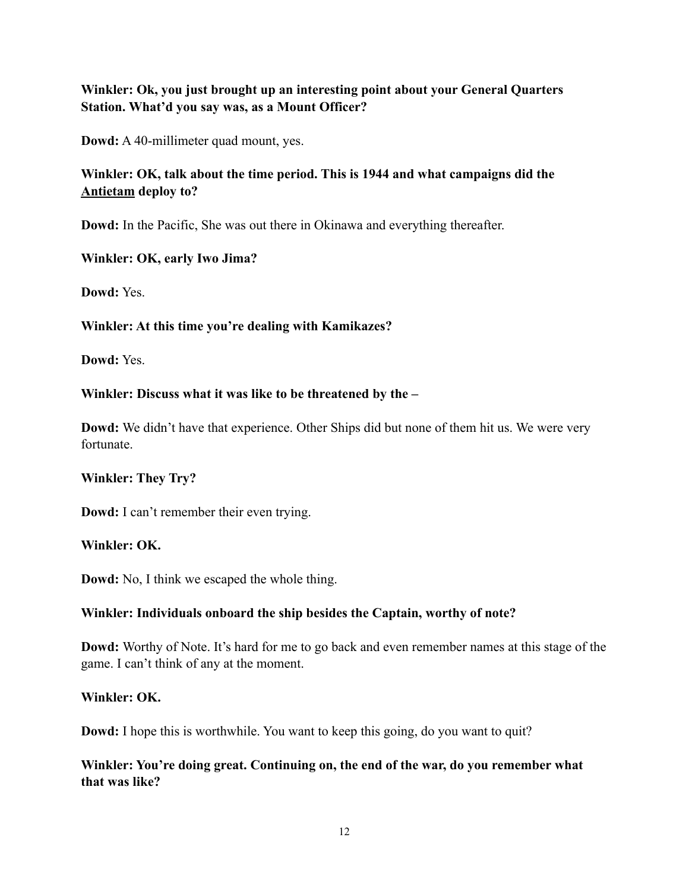# **Winkler: Ok, you just brought up an interesting point about your General Quarters Station. What'd you say was, as a Mount Officer?**

**Dowd:** A 40-millimeter quad mount, yes.

# **Winkler: OK, talk about the time period. This is 1944 and what campaigns did the Antietam deploy to?**

**Dowd:** In the Pacific, She was out there in Okinawa and everything thereafter.

## **Winkler: OK, early Iwo Jima?**

**Dowd:** Yes.

#### **Winkler: At this time you're dealing with Kamikazes?**

**Dowd:** Yes.

#### **Winkler: Discuss what it was like to be threatened by the –**

**Dowd:** We didn't have that experience. Other Ships did but none of them hit us. We were very fortunate.

## **Winkler: They Try?**

**Dowd:** I can't remember their even trying.

#### **Winkler: OK.**

**Dowd:** No, I think we escaped the whole thing.

## **Winkler: Individuals onboard the ship besides the Captain, worthy of note?**

**Dowd:** Worthy of Note. It's hard for me to go back and even remember names at this stage of the game. I can't think of any at the moment.

#### **Winkler: OK.**

**Dowd:** I hope this is worthwhile. You want to keep this going, do you want to quit?

# **Winkler: You're doing great. Continuing on, the end of the war, do you remember what that was like?**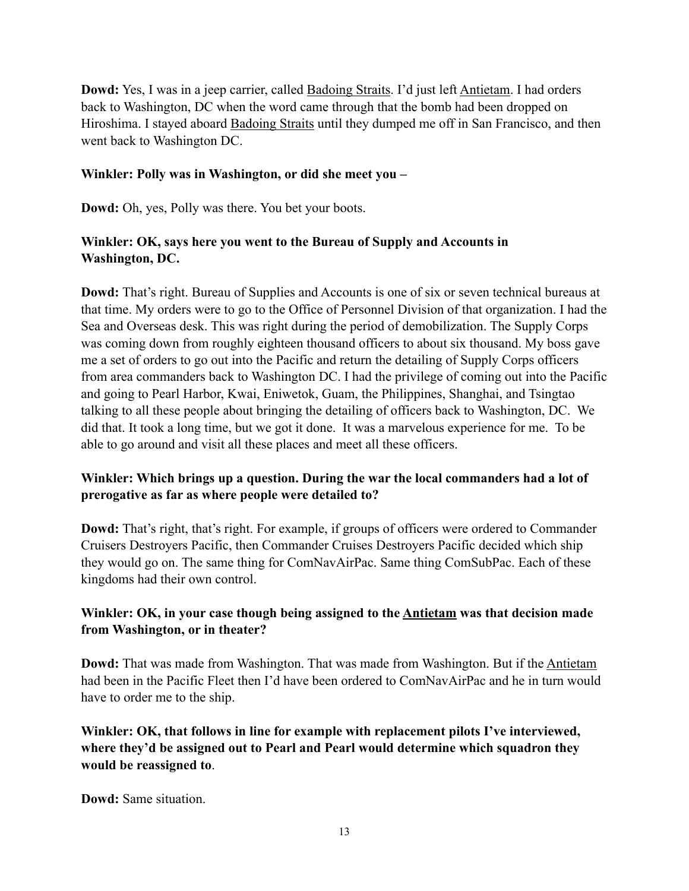**Dowd:** Yes, I was in a jeep carrier, called **Badoing Straits**. I'd just left **Antietam**. I had orders back to Washington, DC when the word came through that the bomb had been dropped on Hiroshima. I stayed aboard **Badoing Straits** until they dumped me off in San Francisco, and then went back to Washington DC.

#### **Winkler: Polly was in Washington, or did she meet you –**

**Dowd:** Oh, yes, Polly was there. You bet your boots.

## **Winkler: OK, says here you went to the Bureau of Supply and Accounts in Washington, DC.**

**Dowd:** That's right. Bureau of Supplies and Accounts is one of six or seven technical bureaus at that time. My orders were to go to the Office of Personnel Division of that organization. I had the Sea and Overseas desk. This was right during the period of demobilization. The Supply Corps was coming down from roughly eighteen thousand officers to about six thousand. My boss gave me a set of orders to go out into the Pacific and return the detailing of Supply Corps officers from area commanders back to Washington DC. I had the privilege of coming out into the Pacific and going to Pearl Harbor, Kwai, Eniwetok, Guam, the Philippines, Shanghai, and Tsingtao talking to all these people about bringing the detailing of officers back to Washington, DC. We did that. It took a long time, but we got it done. It was a marvelous experience for me. To be able to go around and visit all these places and meet all these officers.

# **Winkler: Which brings up a question. During the war the local commanders had a lot of prerogative as far as where people were detailed to?**

**Dowd:** That's right, that's right. For example, if groups of officers were ordered to Commander Cruisers Destroyers Pacific, then Commander Cruises Destroyers Pacific decided which ship they would go on. The same thing for ComNavAirPac. Same thing ComSubPac. Each of these kingdoms had their own control.

# **Winkler: OK, in your case though being assigned to the Antietam was that decision made from Washington, or in theater?**

**Dowd:** That was made from Washington. That was made from Washington. But if the Antietam had been in the Pacific Fleet then I'd have been ordered to ComNavAirPac and he in turn would have to order me to the ship.

**Winkler: OK, that follows in line for example with replacement pilots I've interviewed, where they'd be assigned out to Pearl and Pearl would determine which squadron they would be reassigned to**.

**Dowd:** Same situation.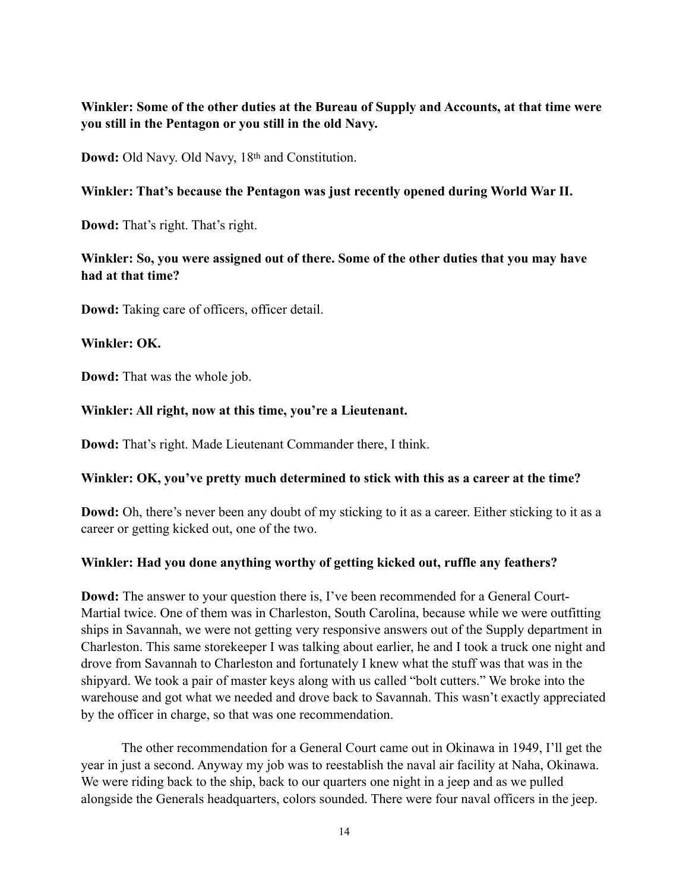# **Winkler: Some of the other duties at the Bureau of Supply and Accounts, at that time were you still in the Pentagon or you still in the old Navy.**

**Dowd:** Old Navy. Old Navy, 18th and Constitution.

#### **Winkler: That's because the Pentagon was just recently opened during World War II.**

**Dowd:** That's right. That's right.

## **Winkler: So, you were assigned out of there. Some of the other duties that you may have had at that time?**

**Dowd:** Taking care of officers, officer detail.

#### **Winkler: OK.**

**Dowd:** That was the whole job.

#### **Winkler: All right, now at this time, you're a Lieutenant.**

**Dowd:** That's right. Made Lieutenant Commander there, I think.

#### **Winkler: OK, you've pretty much determined to stick with this as a career at the time?**

**Dowd:** Oh, there's never been any doubt of my sticking to it as a career. Either sticking to it as a career or getting kicked out, one of the two.

## **Winkler: Had you done anything worthy of getting kicked out, ruffle any feathers?**

**Dowd:** The answer to your question there is, I've been recommended for a General Court-Martial twice. One of them was in Charleston, South Carolina, because while we were outfitting ships in Savannah, we were not getting very responsive answers out of the Supply department in Charleston. This same storekeeper I was talking about earlier, he and I took a truck one night and drove from Savannah to Charleston and fortunately I knew what the stuff was that was in the shipyard. We took a pair of master keys along with us called "bolt cutters." We broke into the warehouse and got what we needed and drove back to Savannah. This wasn't exactly appreciated by the officer in charge, so that was one recommendation.

The other recommendation for a General Court came out in Okinawa in 1949, I'll get the year in just a second. Anyway my job was to reestablish the naval air facility at Naha, Okinawa. We were riding back to the ship, back to our quarters one night in a jeep and as we pulled alongside the Generals headquarters, colors sounded. There were four naval officers in the jeep.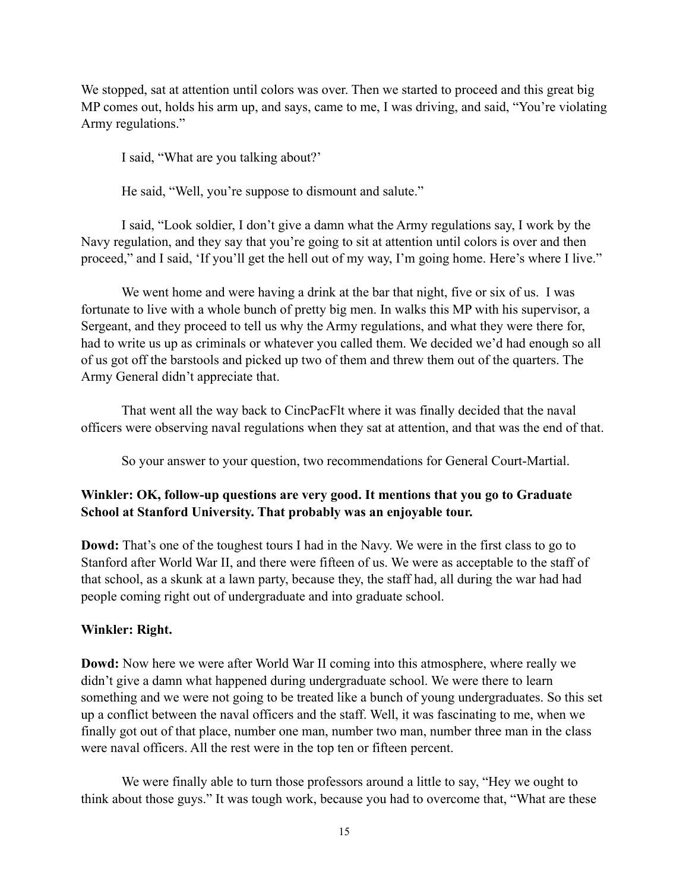We stopped, sat at attention until colors was over. Then we started to proceed and this great big MP comes out, holds his arm up, and says, came to me, I was driving, and said, "You're violating Army regulations."

I said, "What are you talking about?'

He said, "Well, you're suppose to dismount and salute."

I said, "Look soldier, I don't give a damn what the Army regulations say, I work by the Navy regulation, and they say that you're going to sit at attention until colors is over and then proceed," and I said, 'If you'll get the hell out of my way, I'm going home. Here's where I live."

We went home and were having a drink at the bar that night, five or six of us. I was fortunate to live with a whole bunch of pretty big men. In walks this MP with his supervisor, a Sergeant, and they proceed to tell us why the Army regulations, and what they were there for, had to write us up as criminals or whatever you called them. We decided we'd had enough so all of us got off the barstools and picked up two of them and threw them out of the quarters. The Army General didn't appreciate that.

That went all the way back to CincPacFlt where it was finally decided that the naval officers were observing naval regulations when they sat at attention, and that was the end of that.

So your answer to your question, two recommendations for General Court-Martial.

# **Winkler: OK, follow-up questions are very good. It mentions that you go to Graduate School at Stanford University. That probably was an enjoyable tour.**

**Dowd:** That's one of the toughest tours I had in the Navy. We were in the first class to go to Stanford after World War II, and there were fifteen of us. We were as acceptable to the staff of that school, as a skunk at a lawn party, because they, the staff had, all during the war had had people coming right out of undergraduate and into graduate school.

## **Winkler: Right.**

**Dowd:** Now here we were after World War II coming into this atmosphere, where really we didn't give a damn what happened during undergraduate school. We were there to learn something and we were not going to be treated like a bunch of young undergraduates. So this set up a conflict between the naval officers and the staff. Well, it was fascinating to me, when we finally got out of that place, number one man, number two man, number three man in the class were naval officers. All the rest were in the top ten or fifteen percent.

We were finally able to turn those professors around a little to say, "Hey we ought to think about those guys." It was tough work, because you had to overcome that, "What are these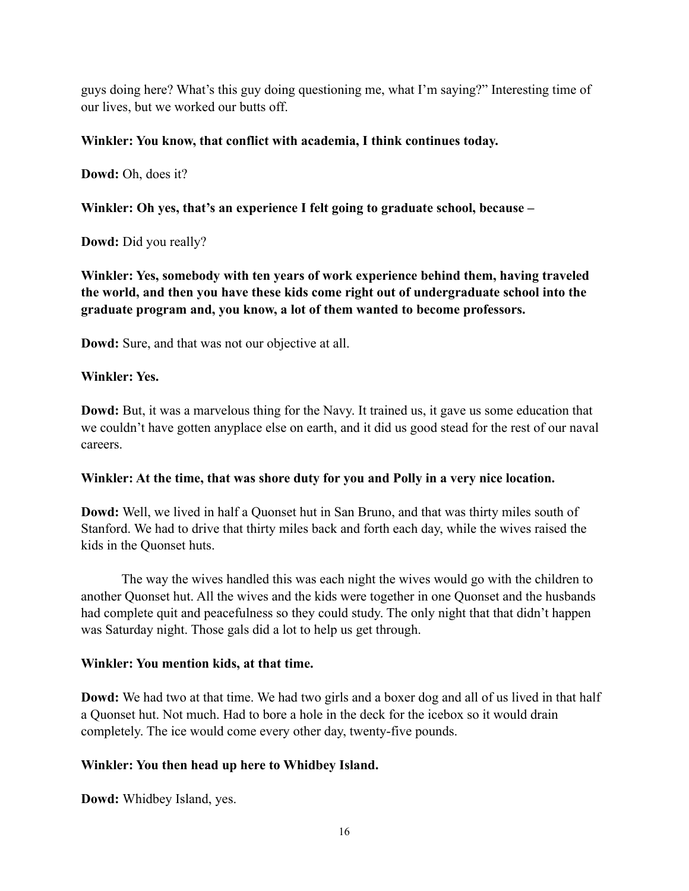guys doing here? What's this guy doing questioning me, what I'm saying?" Interesting time of our lives, but we worked our butts off.

#### **Winkler: You know, that conflict with academia, I think continues today.**

**Dowd:** Oh, does it?

**Winkler: Oh yes, that's an experience I felt going to graduate school, because –**

**Dowd:** Did you really?

**Winkler: Yes, somebody with ten years of work experience behind them, having traveled the world, and then you have these kids come right out of undergraduate school into the graduate program and, you know, a lot of them wanted to become professors.**

**Dowd:** Sure, and that was not our objective at all.

#### **Winkler: Yes.**

**Dowd:** But, it was a marvelous thing for the Navy. It trained us, it gave us some education that we couldn't have gotten anyplace else on earth, and it did us good stead for the rest of our naval careers.

#### **Winkler: At the time, that was shore duty for you and Polly in a very nice location.**

**Dowd:** Well, we lived in half a Quonset hut in San Bruno, and that was thirty miles south of Stanford. We had to drive that thirty miles back and forth each day, while the wives raised the kids in the Quonset huts.

The way the wives handled this was each night the wives would go with the children to another Quonset hut. All the wives and the kids were together in one Quonset and the husbands had complete quit and peacefulness so they could study. The only night that that didn't happen was Saturday night. Those gals did a lot to help us get through.

#### **Winkler: You mention kids, at that time.**

**Dowd:** We had two at that time. We had two girls and a boxer dog and all of us lived in that half a Quonset hut. Not much. Had to bore a hole in the deck for the icebox so it would drain completely. The ice would come every other day, twenty-five pounds.

## **Winkler: You then head up here to Whidbey Island.**

**Dowd:** Whidbey Island, yes.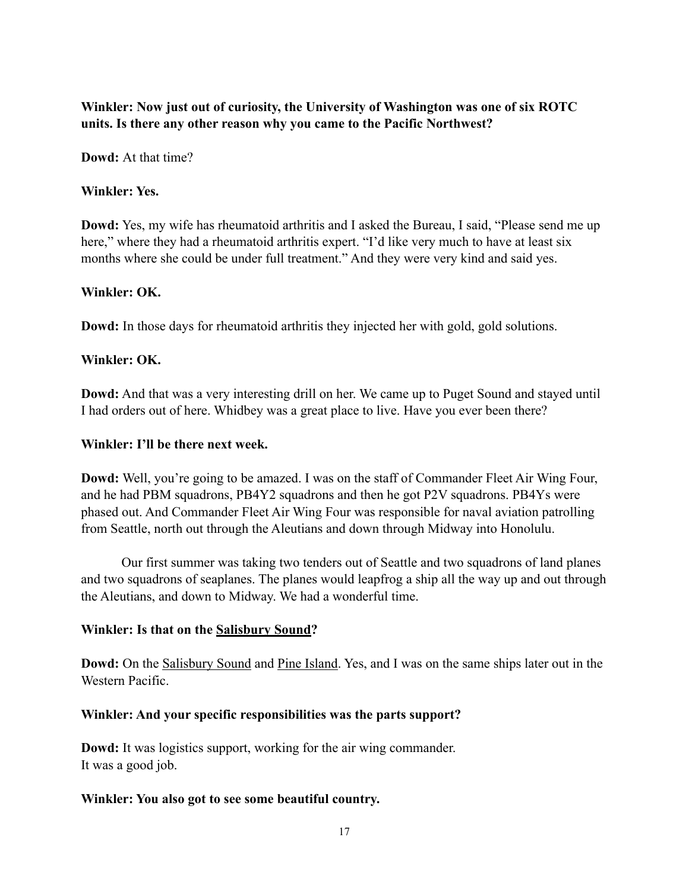# **Winkler: Now just out of curiosity, the University of Washington was one of six ROTC units. Is there any other reason why you came to the Pacific Northwest?**

**Dowd:** At that time?

#### **Winkler: Yes.**

**Dowd:** Yes, my wife has rheumatoid arthritis and I asked the Bureau, I said, "Please send me up here," where they had a rheumatoid arthritis expert. "I'd like very much to have at least six months where she could be under full treatment." And they were very kind and said yes.

#### **Winkler: OK.**

**Dowd:** In those days for rheumatoid arthritis they injected her with gold, gold solutions.

#### **Winkler: OK.**

**Dowd:** And that was a very interesting drill on her. We came up to Puget Sound and stayed until I had orders out of here. Whidbey was a great place to live. Have you ever been there?

#### **Winkler: I'll be there next week.**

**Dowd:** Well, you're going to be amazed. I was on the staff of Commander Fleet Air Wing Four, and he had PBM squadrons, PB4Y2 squadrons and then he got P2V squadrons. PB4Ys were phased out. And Commander Fleet Air Wing Four was responsible for naval aviation patrolling from Seattle, north out through the Aleutians and down through Midway into Honolulu.

Our first summer was taking two tenders out of Seattle and two squadrons of land planes and two squadrons of seaplanes. The planes would leapfrog a ship all the way up and out through the Aleutians, and down to Midway. We had a wonderful time.

#### **Winkler: Is that on the Salisbury Sound?**

**Dowd:** On the Salisbury Sound and Pine Island. Yes, and I was on the same ships later out in the Western Pacific.

## **Winkler: And your specific responsibilities was the parts support?**

**Dowd:** It was logistics support, working for the air wing commander. It was a good job.

#### **Winkler: You also got to see some beautiful country.**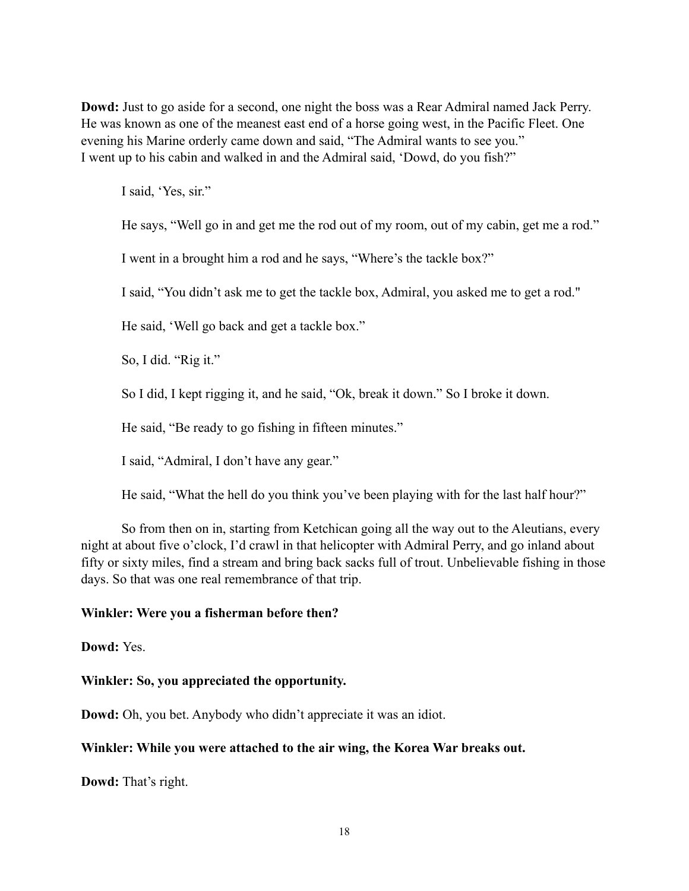**Dowd:** Just to go aside for a second, one night the boss was a Rear Admiral named Jack Perry. He was known as one of the meanest east end of a horse going west, in the Pacific Fleet. One evening his Marine orderly came down and said, "The Admiral wants to see you." I went up to his cabin and walked in and the Admiral said, 'Dowd, do you fish?"

I said, 'Yes, sir."

He says, "Well go in and get me the rod out of my room, out of my cabin, get me a rod."

I went in a brought him a rod and he says, "Where's the tackle box?"

I said, "You didn't ask me to get the tackle box, Admiral, you asked me to get a rod."

He said, 'Well go back and get a tackle box."

So, I did. "Rig it."

So I did, I kept rigging it, and he said, "Ok, break it down." So I broke it down.

He said, "Be ready to go fishing in fifteen minutes."

I said, "Admiral, I don't have any gear."

He said, "What the hell do you think you've been playing with for the last half hour?"

So from then on in, starting from Ketchican going all the way out to the Aleutians, every night at about five o'clock, I'd crawl in that helicopter with Admiral Perry, and go inland about fifty or sixty miles, find a stream and bring back sacks full of trout. Unbelievable fishing in those days. So that was one real remembrance of that trip.

#### **Winkler: Were you a fisherman before then?**

**Dowd:** Yes.

## **Winkler: So, you appreciated the opportunity.**

**Dowd:** Oh, you bet. Anybody who didn't appreciate it was an idiot.

#### **Winkler: While you were attached to the air wing, the Korea War breaks out.**

**Dowd:** That's right.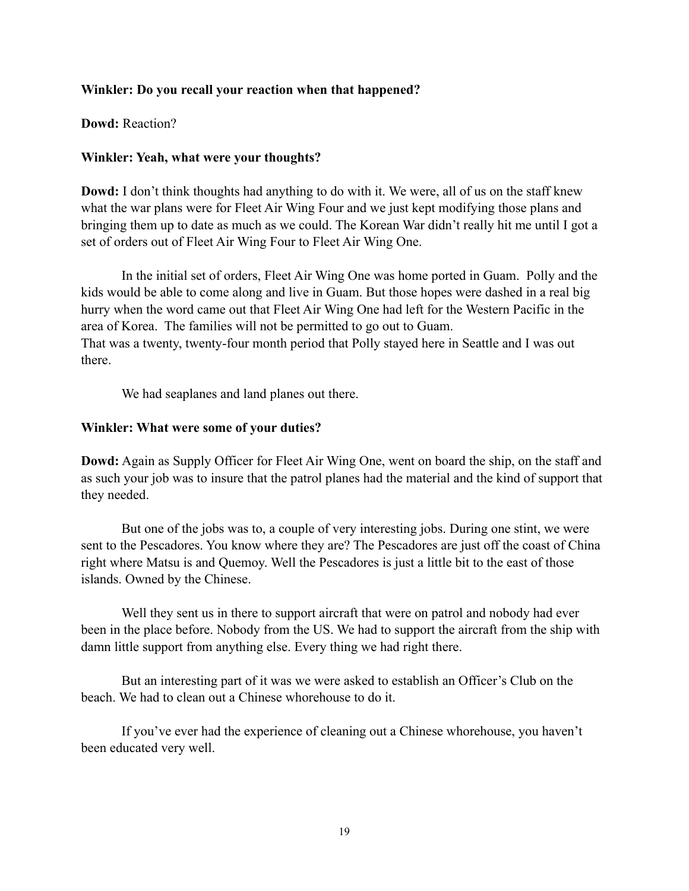#### **Winkler: Do you recall your reaction when that happened?**

**Dowd:** Reaction?

#### **Winkler: Yeah, what were your thoughts?**

**Dowd:** I don't think thoughts had anything to do with it. We were, all of us on the staff knew what the war plans were for Fleet Air Wing Four and we just kept modifying those plans and bringing them up to date as much as we could. The Korean War didn't really hit me until I got a set of orders out of Fleet Air Wing Four to Fleet Air Wing One.

In the initial set of orders, Fleet Air Wing One was home ported in Guam. Polly and the kids would be able to come along and live in Guam. But those hopes were dashed in a real big hurry when the word came out that Fleet Air Wing One had left for the Western Pacific in the area of Korea. The families will not be permitted to go out to Guam. That was a twenty, twenty-four month period that Polly stayed here in Seattle and I was out there.

We had seaplanes and land planes out there.

#### **Winkler: What were some of your duties?**

**Dowd:** Again as Supply Officer for Fleet Air Wing One, went on board the ship, on the staff and as such your job was to insure that the patrol planes had the material and the kind of support that they needed.

But one of the jobs was to, a couple of very interesting jobs. During one stint, we were sent to the Pescadores. You know where they are? The Pescadores are just off the coast of China right where Matsu is and Quemoy. Well the Pescadores is just a little bit to the east of those islands. Owned by the Chinese.

Well they sent us in there to support aircraft that were on patrol and nobody had ever been in the place before. Nobody from the US. We had to support the aircraft from the ship with damn little support from anything else. Every thing we had right there.

But an interesting part of it was we were asked to establish an Officer's Club on the beach. We had to clean out a Chinese whorehouse to do it.

If you've ever had the experience of cleaning out a Chinese whorehouse, you haven't been educated very well.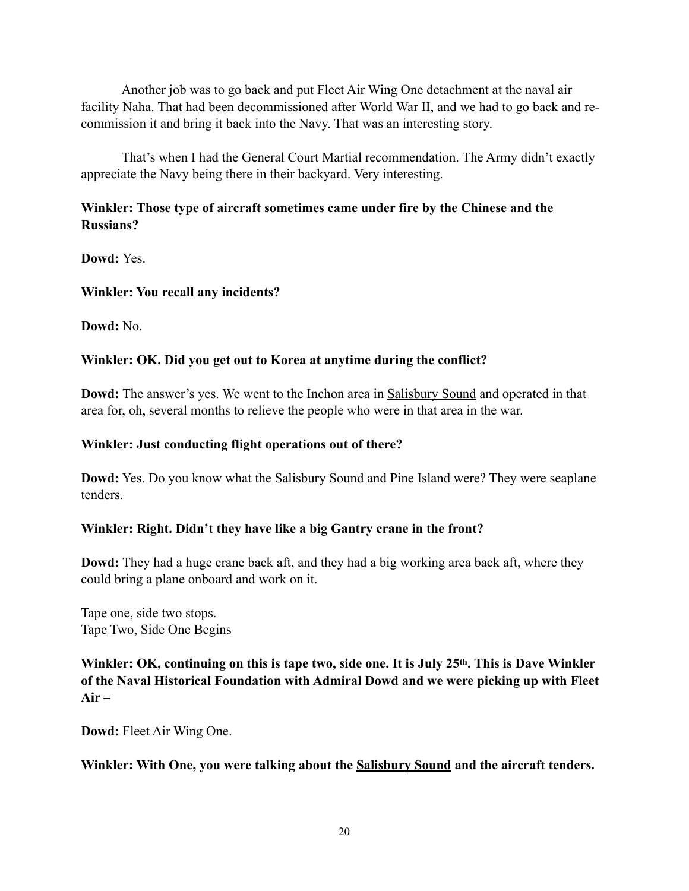Another job was to go back and put Fleet Air Wing One detachment at the naval air facility Naha. That had been decommissioned after World War II, and we had to go back and recommission it and bring it back into the Navy. That was an interesting story.

That's when I had the General Court Martial recommendation. The Army didn't exactly appreciate the Navy being there in their backyard. Very interesting.

# **Winkler: Those type of aircraft sometimes came under fire by the Chinese and the Russians?**

**Dowd:** Yes.

## **Winkler: You recall any incidents?**

**Dowd:** No.

# **Winkler: OK. Did you get out to Korea at anytime during the conflict?**

**Dowd:** The answer's yes. We went to the Inchon area in **Salisbury Sound** and operated in that area for, oh, several months to relieve the people who were in that area in the war.

## **Winkler: Just conducting flight operations out of there?**

**Dowd:** Yes. Do you know what the Salisbury Sound and Pine Island were? They were seaplane tenders.

# **Winkler: Right. Didn't they have like a big Gantry crane in the front?**

**Dowd:** They had a huge crane back aft, and they had a big working area back aft, where they could bring a plane onboard and work on it.

Tape one, side two stops. Tape Two, Side One Begins

**Winkler: OK, continuing on this is tape two, side one. It is July 25th. This is Dave Winkler of the Naval Historical Foundation with Admiral Dowd and we were picking up with Fleet Air –**

**Dowd:** Fleet Air Wing One.

## **Winkler: With One, you were talking about the Salisbury Sound and the aircraft tenders.**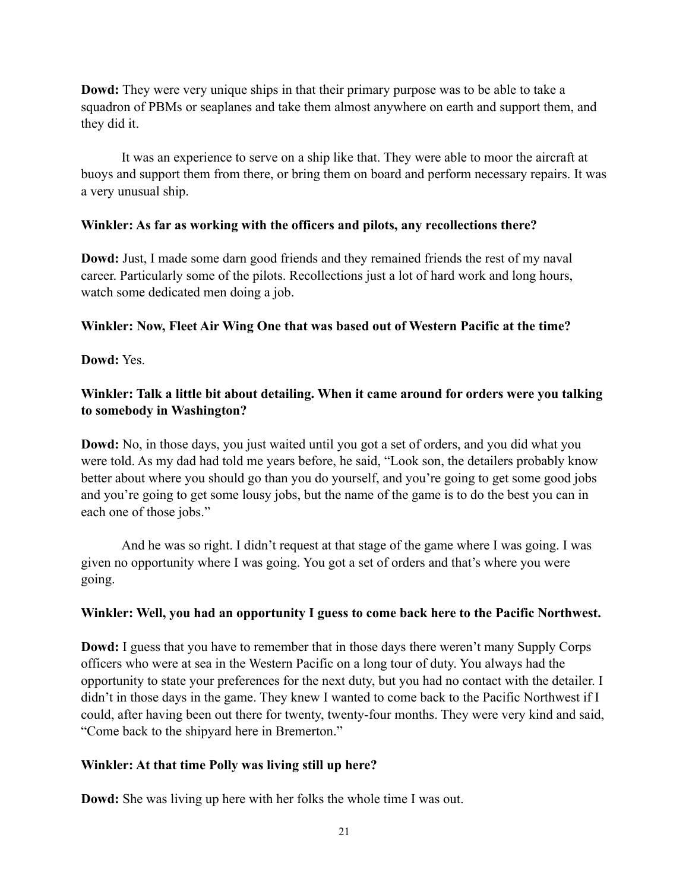**Dowd:** They were very unique ships in that their primary purpose was to be able to take a squadron of PBMs or seaplanes and take them almost anywhere on earth and support them, and they did it.

It was an experience to serve on a ship like that. They were able to moor the aircraft at buoys and support them from there, or bring them on board and perform necessary repairs. It was a very unusual ship.

#### **Winkler: As far as working with the officers and pilots, any recollections there?**

**Dowd:** Just, I made some darn good friends and they remained friends the rest of my naval career. Particularly some of the pilots. Recollections just a lot of hard work and long hours, watch some dedicated men doing a job.

## **Winkler: Now, Fleet Air Wing One that was based out of Western Pacific at the time?**

**Dowd:** Yes.

## **Winkler: Talk a little bit about detailing. When it came around for orders were you talking to somebody in Washington?**

**Dowd:** No, in those days, you just waited until you got a set of orders, and you did what you were told. As my dad had told me years before, he said, "Look son, the detailers probably know better about where you should go than you do yourself, and you're going to get some good jobs and you're going to get some lousy jobs, but the name of the game is to do the best you can in each one of those jobs."

And he was so right. I didn't request at that stage of the game where I was going. I was given no opportunity where I was going. You got a set of orders and that's where you were going.

## **Winkler: Well, you had an opportunity I guess to come back here to the Pacific Northwest.**

**Dowd:** I guess that you have to remember that in those days there weren't many Supply Corps officers who were at sea in the Western Pacific on a long tour of duty. You always had the opportunity to state your preferences for the next duty, but you had no contact with the detailer. I didn't in those days in the game. They knew I wanted to come back to the Pacific Northwest if I could, after having been out there for twenty, twenty-four months. They were very kind and said, "Come back to the shipyard here in Bremerton."

## **Winkler: At that time Polly was living still up here?**

**Dowd:** She was living up here with her folks the whole time I was out.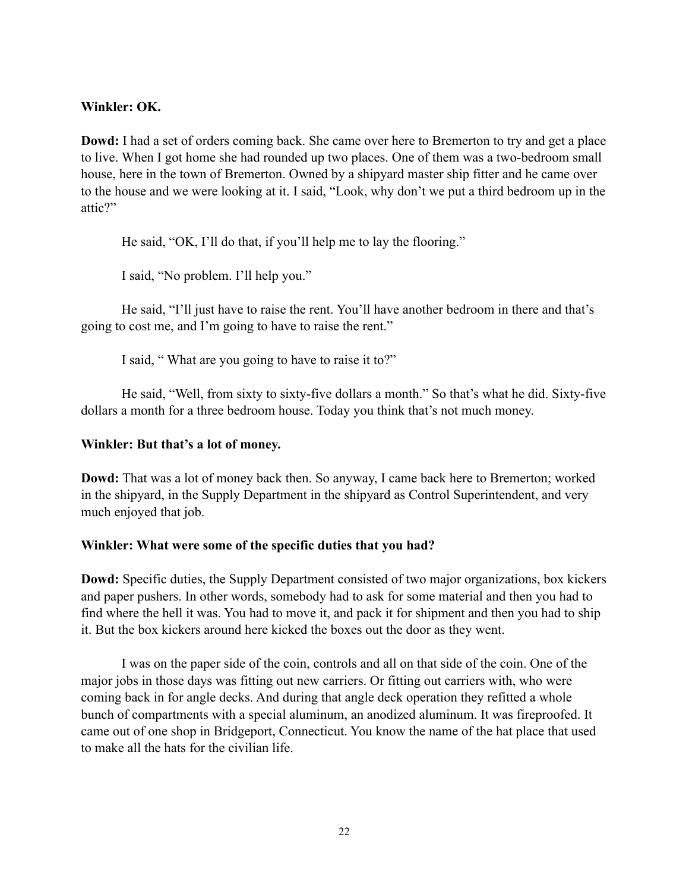#### **Winkler: OK.**

**Dowd:** I had a set of orders coming back. She came over here to Bremerton to try and get a place to live. When I got home she had rounded up two places. One of them was a two-bedroom small house, here in the town of Bremerton. Owned by a shipyard master ship fitter and he came over to the house and we were looking at it. I said, "Look, why don't we put a third bedroom up in the attic?"

He said, "OK, I'll do that, if you'll help me to lay the flooring."

I said, "No problem. I'll help you."

He said, "I'll just have to raise the rent. You'll have another bedroom in there and that's going to cost me, and I'm going to have to raise the rent."

I said, " What are you going to have to raise it to?"

He said, "Well, from sixty to sixty-five dollars a month." So that's what he did. Sixty-five dollars a month for a three bedroom house. Today you think that's not much money.

#### **Winkler: But that's a lot of money.**

**Dowd:** That was a lot of money back then. So anyway, I came back here to Bremerton; worked in the shipyard, in the Supply Department in the shipyard as Control Superintendent, and very much enjoyed that job.

## **Winkler: What were some of the specific duties that you had?**

**Dowd:** Specific duties, the Supply Department consisted of two major organizations, box kickers and paper pushers. In other words, somebody had to ask for some material and then you had to find where the hell it was. You had to move it, and pack it for shipment and then you had to ship it. But the box kickers around here kicked the boxes out the door as they went.

I was on the paper side of the coin, controls and all on that side of the coin. One of the major jobs in those days was fitting out new carriers. Or fitting out carriers with, who were coming back in for angle decks. And during that angle deck operation they refitted a whole bunch of compartments with a special aluminum, an anodized aluminum. It was fireproofed. It came out of one shop in Bridgeport, Connecticut. You know the name of the hat place that used to make all the hats for the civilian life.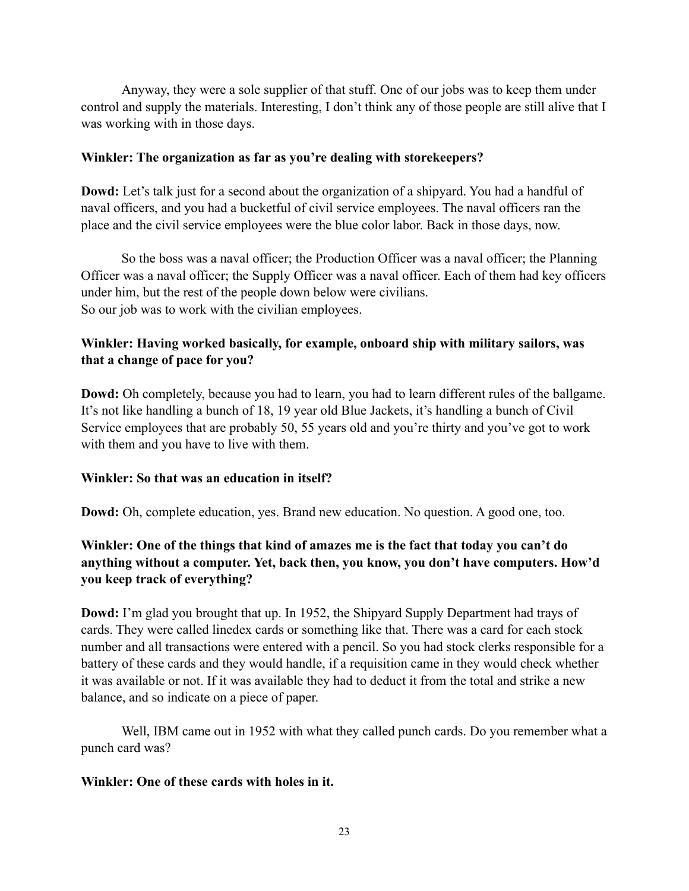Anyway, they were a sole supplier of that stuff. One of our jobs was to keep them under control and supply the materials. Interesting, I don't think any of those people are still alive that I was working with in those days.

## **Winkler: The organization as far as you're dealing with storekeepers?**

**Dowd:** Let's talk just for a second about the organization of a shipyard. You had a handful of naval officers, and you had a bucketful of civil service employees. The naval officers ran the place and the civil service employees were the blue color labor. Back in those days, now.

So the boss was a naval officer; the Production Officer was a naval officer; the Planning Officer was a naval officer; the Supply Officer was a naval officer. Each of them had key officers under him, but the rest of the people down below were civilians. So our job was to work with the civilian employees.

# **Winkler: Having worked basically, for example, onboard ship with military sailors, was that a change of pace for you?**

**Dowd:** Oh completely, because you had to learn, you had to learn different rules of the ballgame. It's not like handling a bunch of 18, 19 year old Blue Jackets, it's handling a bunch of Civil Service employees that are probably 50, 55 years old and you're thirty and you've got to work with them and you have to live with them.

## **Winkler: So that was an education in itself?**

**Dowd:** Oh, complete education, yes. Brand new education. No question. A good one, too.

# **Winkler: One of the things that kind of amazes me is the fact that today you can't do anything without a computer. Yet, back then, you know, you don't have computers. How'd you keep track of everything?**

**Dowd:** I'm glad you brought that up. In 1952, the Shipyard Supply Department had trays of cards. They were called linedex cards or something like that. There was a card for each stock number and all transactions were entered with a pencil. So you had stock clerks responsible for a battery of these cards and they would handle, if a requisition came in they would check whether it was available or not. If it was available they had to deduct it from the total and strike a new balance, and so indicate on a piece of paper.

Well, IBM came out in 1952 with what they called punch cards. Do you remember what a punch card was?

## **Winkler: One of these cards with holes in it.**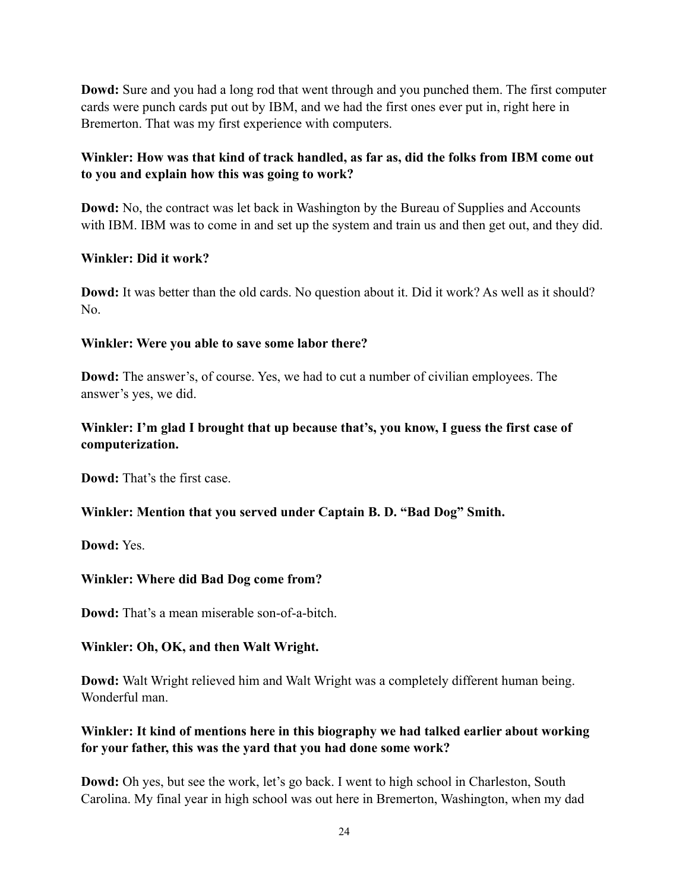**Dowd:** Sure and you had a long rod that went through and you punched them. The first computer cards were punch cards put out by IBM, and we had the first ones ever put in, right here in Bremerton. That was my first experience with computers.

# **Winkler: How was that kind of track handled, as far as, did the folks from IBM come out to you and explain how this was going to work?**

**Dowd:** No, the contract was let back in Washington by the Bureau of Supplies and Accounts with IBM. IBM was to come in and set up the system and train us and then get out, and they did.

## **Winkler: Did it work?**

**Dowd:** It was better than the old cards. No question about it. Did it work? As well as it should? No.

# **Winkler: Were you able to save some labor there?**

**Dowd:** The answer's, of course. Yes, we had to cut a number of civilian employees. The answer's yes, we did.

# **Winkler: I'm glad I brought that up because that's, you know, I guess the first case of computerization.**

**Dowd:** That's the first case.

## **Winkler: Mention that you served under Captain B. D. "Bad Dog" Smith.**

**Dowd:** Yes.

## **Winkler: Where did Bad Dog come from?**

**Dowd:** That's a mean miserable son-of-a-bitch.

## **Winkler: Oh, OK, and then Walt Wright.**

**Dowd:** Walt Wright relieved him and Walt Wright was a completely different human being. Wonderful man.

# **Winkler: It kind of mentions here in this biography we had talked earlier about working for your father, this was the yard that you had done some work?**

**Dowd:** Oh yes, but see the work, let's go back. I went to high school in Charleston, South Carolina. My final year in high school was out here in Bremerton, Washington, when my dad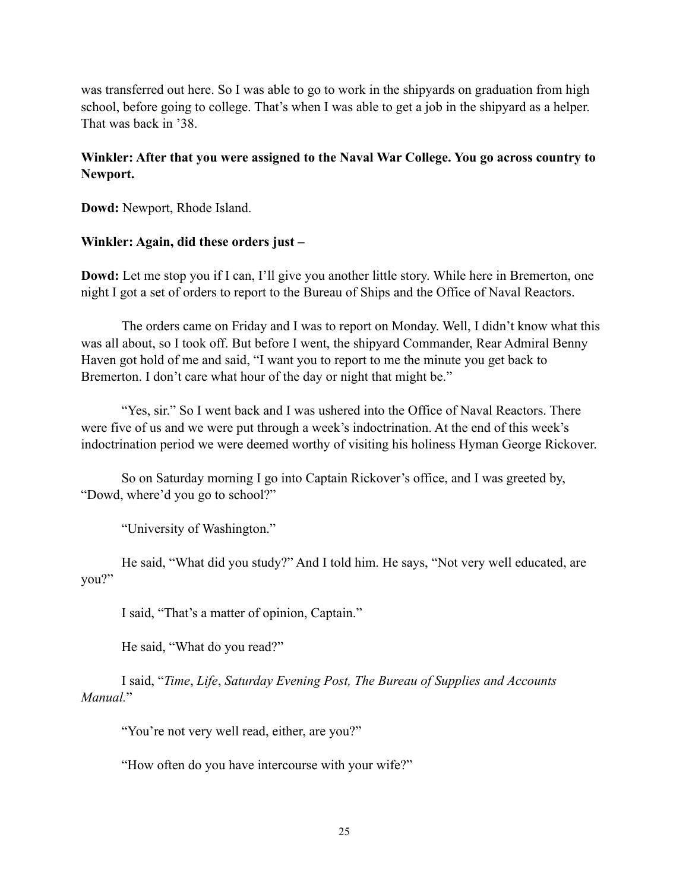was transferred out here. So I was able to go to work in the shipyards on graduation from high school, before going to college. That's when I was able to get a job in the shipyard as a helper. That was back in '38.

# **Winkler: After that you were assigned to the Naval War College. You go across country to Newport.**

**Dowd:** Newport, Rhode Island.

#### **Winkler: Again, did these orders just –**

**Dowd:** Let me stop you if I can, I'll give you another little story. While here in Bremerton, one night I got a set of orders to report to the Bureau of Ships and the Office of Naval Reactors.

The orders came on Friday and I was to report on Monday. Well, I didn't know what this was all about, so I took off. But before I went, the shipyard Commander, Rear Admiral Benny Haven got hold of me and said, "I want you to report to me the minute you get back to Bremerton. I don't care what hour of the day or night that might be."

"Yes, sir." So I went back and I was ushered into the Office of Naval Reactors. There were five of us and we were put through a week's indoctrination. At the end of this week's indoctrination period we were deemed worthy of visiting his holiness Hyman George Rickover.

So on Saturday morning I go into Captain Rickover's office, and I was greeted by, "Dowd, where'd you go to school?"

"University of Washington."

He said, "What did you study?" And I told him. He says, "Not very well educated, are you?"

I said, "That's a matter of opinion, Captain."

He said, "What do you read?"

I said, "*Time*, *Life*, *Saturday Evening Post, The Bureau of Supplies and Accounts Manual.*"

"You're not very well read, either, are you?"

"How often do you have intercourse with your wife?"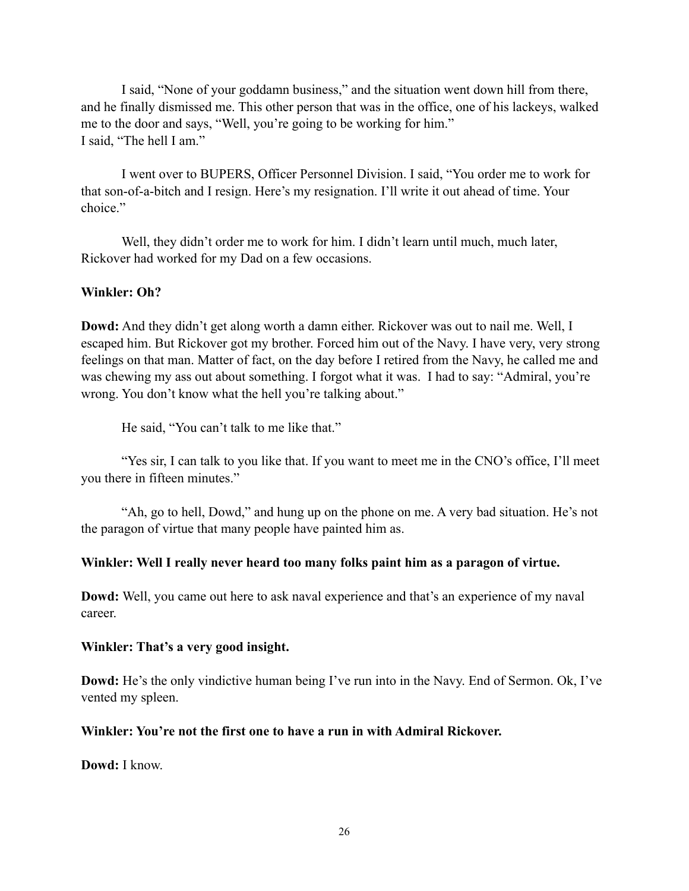I said, "None of your goddamn business," and the situation went down hill from there, and he finally dismissed me. This other person that was in the office, one of his lackeys, walked me to the door and says, "Well, you're going to be working for him." I said, "The hell I am."

I went over to BUPERS, Officer Personnel Division. I said, "You order me to work for that son-of-a-bitch and I resign. Here's my resignation. I'll write it out ahead of time. Your choice"

Well, they didn't order me to work for him. I didn't learn until much, much later, Rickover had worked for my Dad on a few occasions.

#### **Winkler: Oh?**

**Dowd:** And they didn't get along worth a damn either. Rickover was out to nail me. Well, I escaped him. But Rickover got my brother. Forced him out of the Navy. I have very, very strong feelings on that man. Matter of fact, on the day before I retired from the Navy, he called me and was chewing my ass out about something. I forgot what it was. I had to say: "Admiral, you're wrong. You don't know what the hell you're talking about."

He said, "You can't talk to me like that."

"Yes sir, I can talk to you like that. If you want to meet me in the CNO's office, I'll meet you there in fifteen minutes."

"Ah, go to hell, Dowd," and hung up on the phone on me. A very bad situation. He's not the paragon of virtue that many people have painted him as.

#### **Winkler: Well I really never heard too many folks paint him as a paragon of virtue.**

**Dowd:** Well, you came out here to ask naval experience and that's an experience of my naval career.

#### **Winkler: That's a very good insight.**

**Dowd:** He's the only vindictive human being I've run into in the Navy. End of Sermon. Ok, I've vented my spleen.

#### **Winkler: You're not the first one to have a run in with Admiral Rickover.**

**Dowd:** I know.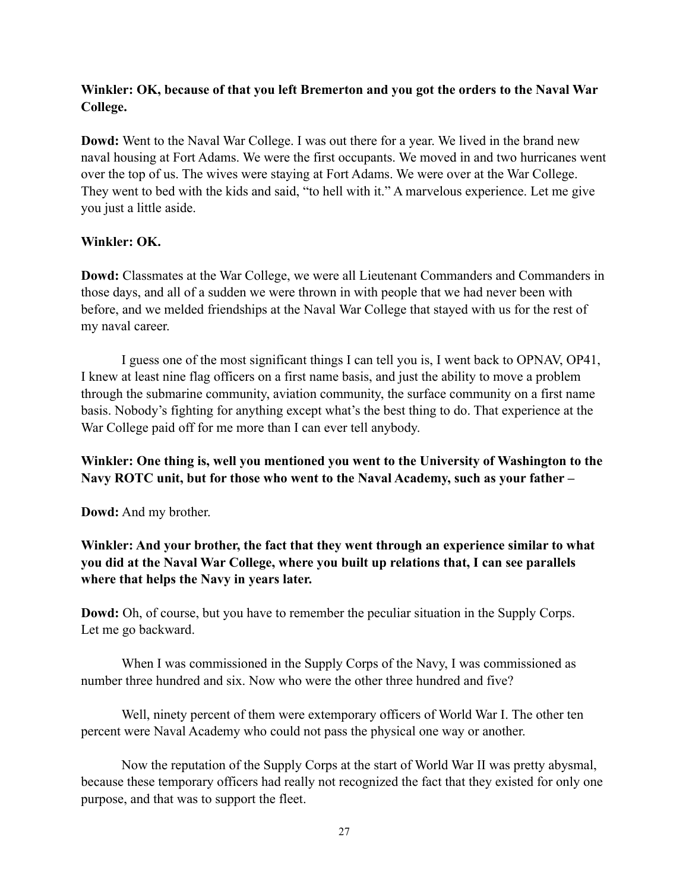# **Winkler: OK, because of that you left Bremerton and you got the orders to the Naval War College.**

**Dowd:** Went to the Naval War College. I was out there for a year. We lived in the brand new naval housing at Fort Adams. We were the first occupants. We moved in and two hurricanes went over the top of us. The wives were staying at Fort Adams. We were over at the War College. They went to bed with the kids and said, "to hell with it." A marvelous experience. Let me give you just a little aside.

## **Winkler: OK.**

**Dowd:** Classmates at the War College, we were all Lieutenant Commanders and Commanders in those days, and all of a sudden we were thrown in with people that we had never been with before, and we melded friendships at the Naval War College that stayed with us for the rest of my naval career.

I guess one of the most significant things I can tell you is, I went back to OPNAV, OP41, I knew at least nine flag officers on a first name basis, and just the ability to move a problem through the submarine community, aviation community, the surface community on a first name basis. Nobody's fighting for anything except what's the best thing to do. That experience at the War College paid off for me more than I can ever tell anybody.

**Winkler: One thing is, well you mentioned you went to the University of Washington to the Navy ROTC unit, but for those who went to the Naval Academy, such as your father –**

**Dowd:** And my brother.

**Winkler: And your brother, the fact that they went through an experience similar to what you did at the Naval War College, where you built up relations that, I can see parallels where that helps the Navy in years later.**

**Dowd:** Oh, of course, but you have to remember the peculiar situation in the Supply Corps. Let me go backward.

When I was commissioned in the Supply Corps of the Navy, I was commissioned as number three hundred and six. Now who were the other three hundred and five?

Well, ninety percent of them were extemporary officers of World War I. The other ten percent were Naval Academy who could not pass the physical one way or another.

Now the reputation of the Supply Corps at the start of World War II was pretty abysmal, because these temporary officers had really not recognized the fact that they existed for only one purpose, and that was to support the fleet.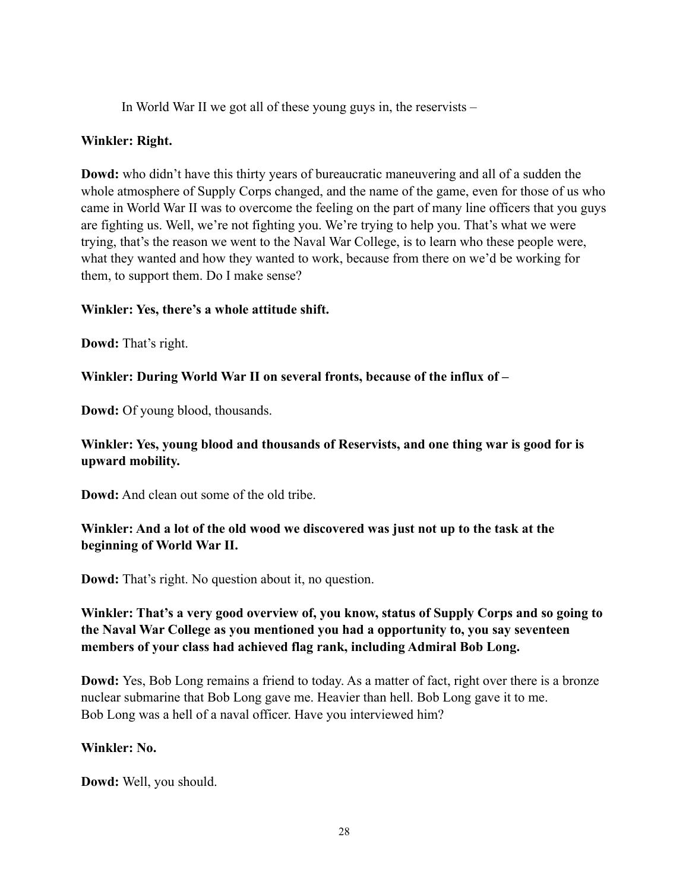In World War II we got all of these young guys in, the reservists –

#### **Winkler: Right.**

**Dowd:** who didn't have this thirty years of bureaucratic maneuvering and all of a sudden the whole atmosphere of Supply Corps changed, and the name of the game, even for those of us who came in World War II was to overcome the feeling on the part of many line officers that you guys are fighting us. Well, we're not fighting you. We're trying to help you. That's what we were trying, that's the reason we went to the Naval War College, is to learn who these people were, what they wanted and how they wanted to work, because from there on we'd be working for them, to support them. Do I make sense?

#### **Winkler: Yes, there's a whole attitude shift.**

**Dowd:** That's right.

#### **Winkler: During World War II on several fronts, because of the influx of –**

**Dowd:** Of young blood, thousands.

# **Winkler: Yes, young blood and thousands of Reservists, and one thing war is good for is upward mobility.**

**Dowd:** And clean out some of the old tribe.

# **Winkler: And a lot of the old wood we discovered was just not up to the task at the beginning of World War II.**

**Dowd:** That's right. No question about it, no question.

# **Winkler: That's a very good overview of, you know, status of Supply Corps and so going to the Naval War College as you mentioned you had a opportunity to, you say seventeen members of your class had achieved flag rank, including Admiral Bob Long.**

**Dowd:** Yes, Bob Long remains a friend to today. As a matter of fact, right over there is a bronze nuclear submarine that Bob Long gave me. Heavier than hell. Bob Long gave it to me. Bob Long was a hell of a naval officer. Have you interviewed him?

## **Winkler: No.**

**Dowd:** Well, you should.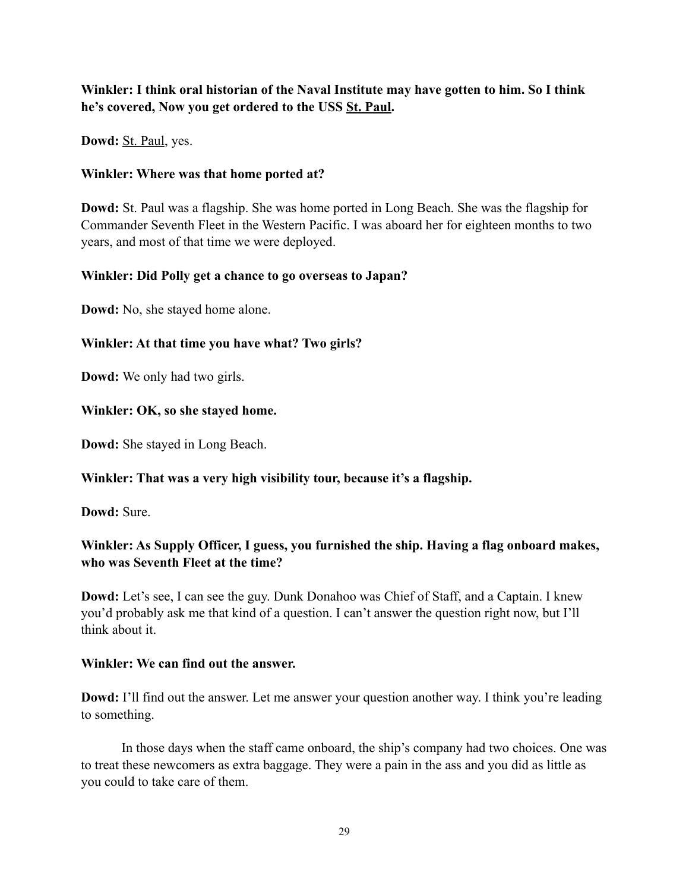# **Winkler: I think oral historian of the Naval Institute may have gotten to him. So I think he's covered, Now you get ordered to the USS St. Paul.**

**Dowd:** St. Paul, yes.

#### **Winkler: Where was that home ported at?**

**Dowd:** St. Paul was a flagship. She was home ported in Long Beach. She was the flagship for Commander Seventh Fleet in the Western Pacific. I was aboard her for eighteen months to two years, and most of that time we were deployed.

## **Winkler: Did Polly get a chance to go overseas to Japan?**

**Dowd:** No, she stayed home alone.

## **Winkler: At that time you have what? Two girls?**

**Dowd:** We only had two girls.

#### **Winkler: OK, so she stayed home.**

**Dowd:** She stayed in Long Beach.

## **Winkler: That was a very high visibility tour, because it's a flagship.**

**Dowd:** Sure.

# **Winkler: As Supply Officer, I guess, you furnished the ship. Having a flag onboard makes, who was Seventh Fleet at the time?**

**Dowd:** Let's see, I can see the guy. Dunk Donahoo was Chief of Staff, and a Captain. I knew you'd probably ask me that kind of a question. I can't answer the question right now, but I'll think about it.

#### **Winkler: We can find out the answer.**

**Dowd:** I'll find out the answer. Let me answer your question another way. I think you're leading to something.

In those days when the staff came onboard, the ship's company had two choices. One was to treat these newcomers as extra baggage. They were a pain in the ass and you did as little as you could to take care of them.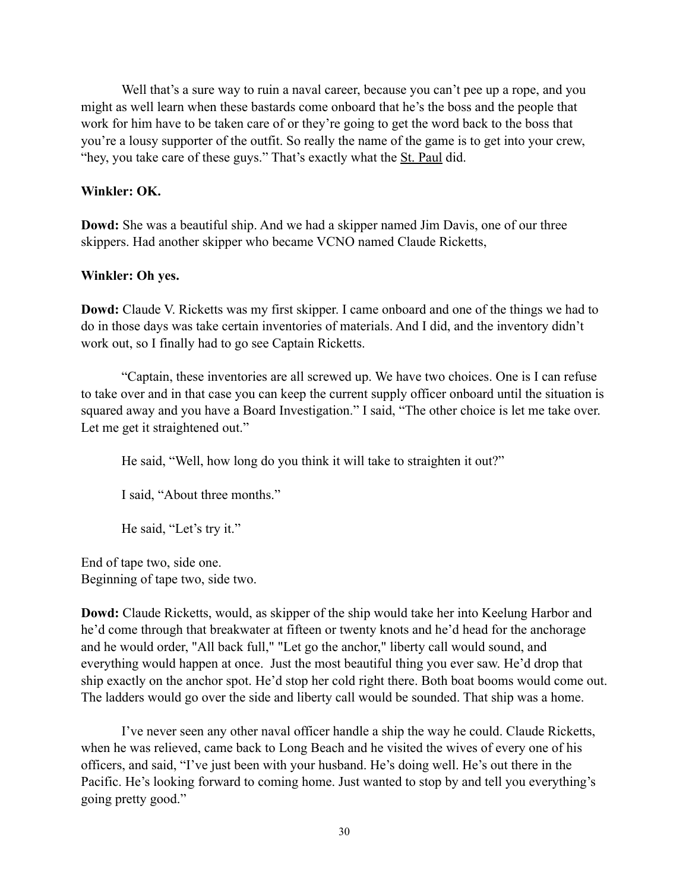Well that's a sure way to ruin a naval career, because you can't pee up a rope, and you might as well learn when these bastards come onboard that he's the boss and the people that work for him have to be taken care of or they're going to get the word back to the boss that you're a lousy supporter of the outfit. So really the name of the game is to get into your crew, "hey, you take care of these guys." That's exactly what the St. Paul did.

#### **Winkler: OK.**

**Dowd:** She was a beautiful ship. And we had a skipper named Jim Davis, one of our three skippers. Had another skipper who became VCNO named Claude Ricketts,

#### **Winkler: Oh yes.**

**Dowd:** Claude V. Ricketts was my first skipper. I came onboard and one of the things we had to do in those days was take certain inventories of materials. And I did, and the inventory didn't work out, so I finally had to go see Captain Ricketts.

"Captain, these inventories are all screwed up. We have two choices. One is I can refuse to take over and in that case you can keep the current supply officer onboard until the situation is squared away and you have a Board Investigation." I said, "The other choice is let me take over. Let me get it straightened out."

He said, "Well, how long do you think it will take to straighten it out?"

I said, "About three months."

He said, "Let's try it."

End of tape two, side one. Beginning of tape two, side two.

**Dowd:** Claude Ricketts, would, as skipper of the ship would take her into Keelung Harbor and he'd come through that breakwater at fifteen or twenty knots and he'd head for the anchorage and he would order, "All back full," "Let go the anchor," liberty call would sound, and everything would happen at once. Just the most beautiful thing you ever saw. He'd drop that ship exactly on the anchor spot. He'd stop her cold right there. Both boat booms would come out. The ladders would go over the side and liberty call would be sounded. That ship was a home.

I've never seen any other naval officer handle a ship the way he could. Claude Ricketts, when he was relieved, came back to Long Beach and he visited the wives of every one of his officers, and said, "I've just been with your husband. He's doing well. He's out there in the Pacific. He's looking forward to coming home. Just wanted to stop by and tell you everything's going pretty good."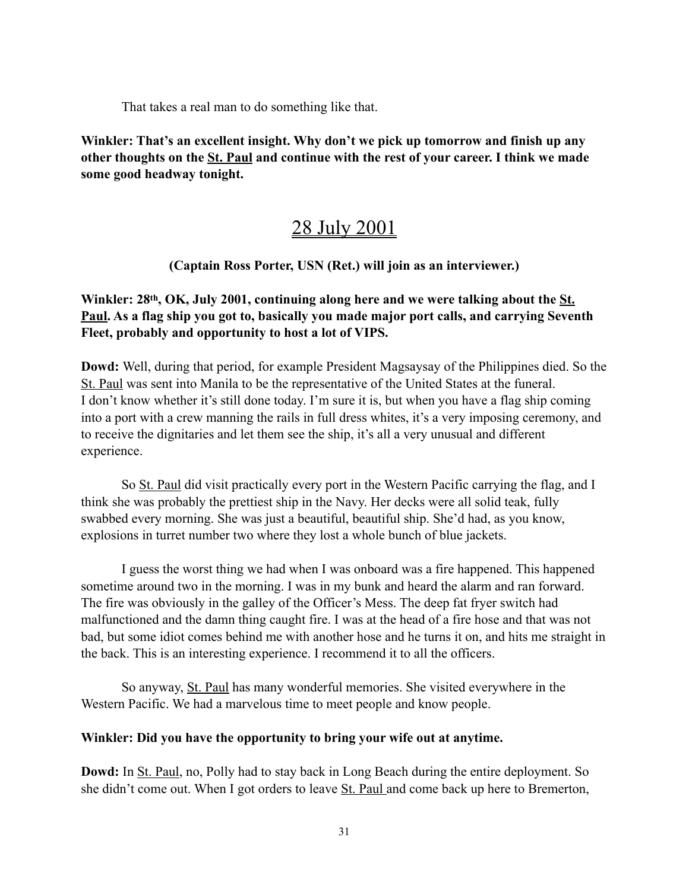That takes a real man to do something like that.

**Winkler: That's an excellent insight. Why don't we pick up tomorrow and finish up any other thoughts on the St. Paul and continue with the rest of your career. I think we made some good headway tonight.**

# 28 July 2001

# **(Captain Ross Porter, USN (Ret.) will join as an interviewer.)**

# **Winkler: 28th, OK, July 2001, continuing along here and we were talking about the St. Paul. As a flag ship you got to, basically you made major port calls, and carrying Seventh Fleet, probably and opportunity to host a lot of VIPS.**

**Dowd:** Well, during that period, for example President Magsaysay of the Philippines died. So the St. Paul was sent into Manila to be the representative of the United States at the funeral. I don't know whether it's still done today. I'm sure it is, but when you have a flag ship coming into a port with a crew manning the rails in full dress whites, it's a very imposing ceremony, and to receive the dignitaries and let them see the ship, it's all a very unusual and different experience.

So St. Paul did visit practically every port in the Western Pacific carrying the flag, and I think she was probably the prettiest ship in the Navy. Her decks were all solid teak, fully swabbed every morning. She was just a beautiful, beautiful ship. She'd had, as you know, explosions in turret number two where they lost a whole bunch of blue jackets.

I guess the worst thing we had when I was onboard was a fire happened. This happened sometime around two in the morning. I was in my bunk and heard the alarm and ran forward. The fire was obviously in the galley of the Officer's Mess. The deep fat fryer switch had malfunctioned and the damn thing caught fire. I was at the head of a fire hose and that was not bad, but some idiot comes behind me with another hose and he turns it on, and hits me straight in the back. This is an interesting experience. I recommend it to all the officers.

So anyway, St. Paul has many wonderful memories. She visited everywhere in the Western Pacific. We had a marvelous time to meet people and know people.

## **Winkler: Did you have the opportunity to bring your wife out at anytime.**

**Dowd:** In St. Paul, no, Polly had to stay back in Long Beach during the entire deployment. So she didn't come out. When I got orders to leave St. Paul and come back up here to Bremerton,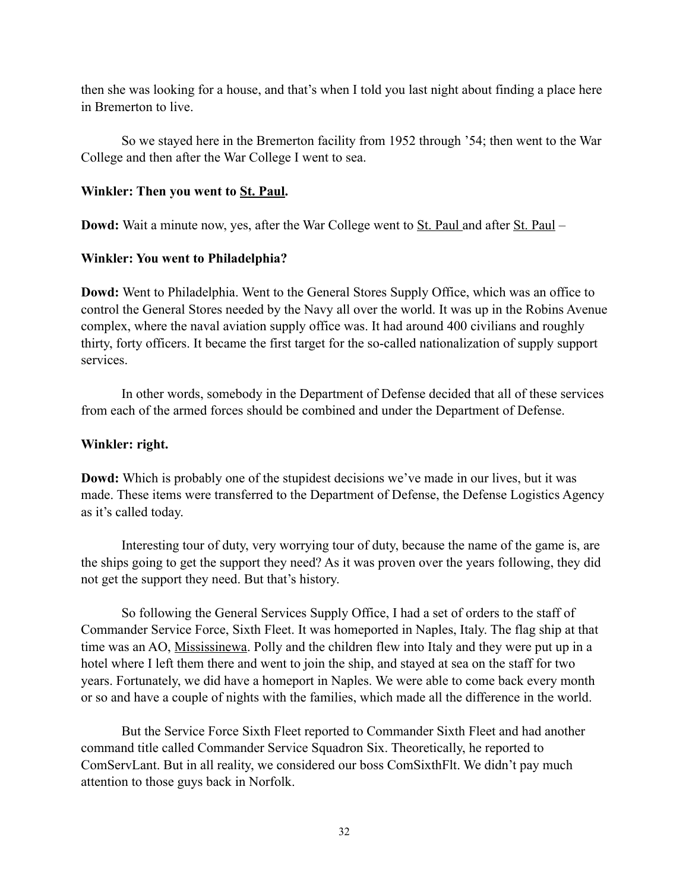then she was looking for a house, and that's when I told you last night about finding a place here in Bremerton to live.

So we stayed here in the Bremerton facility from 1952 through '54; then went to the War College and then after the War College I went to sea.

#### **Winkler: Then you went to St. Paul.**

**Dowd:** Wait a minute now, yes, after the War College went to <u>St. Paul</u> and after St. Paul –

#### **Winkler: You went to Philadelphia?**

**Dowd:** Went to Philadelphia. Went to the General Stores Supply Office, which was an office to control the General Stores needed by the Navy all over the world. It was up in the Robins Avenue complex, where the naval aviation supply office was. It had around 400 civilians and roughly thirty, forty officers. It became the first target for the so-called nationalization of supply support services.

In other words, somebody in the Department of Defense decided that all of these services from each of the armed forces should be combined and under the Department of Defense.

#### **Winkler: right.**

**Dowd:** Which is probably one of the stupidest decisions we've made in our lives, but it was made. These items were transferred to the Department of Defense, the Defense Logistics Agency as it's called today.

Interesting tour of duty, very worrying tour of duty, because the name of the game is, are the ships going to get the support they need? As it was proven over the years following, they did not get the support they need. But that's history.

So following the General Services Supply Office, I had a set of orders to the staff of Commander Service Force, Sixth Fleet. It was homeported in Naples, Italy. The flag ship at that time was an AO, Mississinewa. Polly and the children flew into Italy and they were put up in a hotel where I left them there and went to join the ship, and stayed at sea on the staff for two years. Fortunately, we did have a homeport in Naples. We were able to come back every month or so and have a couple of nights with the families, which made all the difference in the world.

But the Service Force Sixth Fleet reported to Commander Sixth Fleet and had another command title called Commander Service Squadron Six. Theoretically, he reported to ComServLant. But in all reality, we considered our boss ComSixthFlt. We didn't pay much attention to those guys back in Norfolk.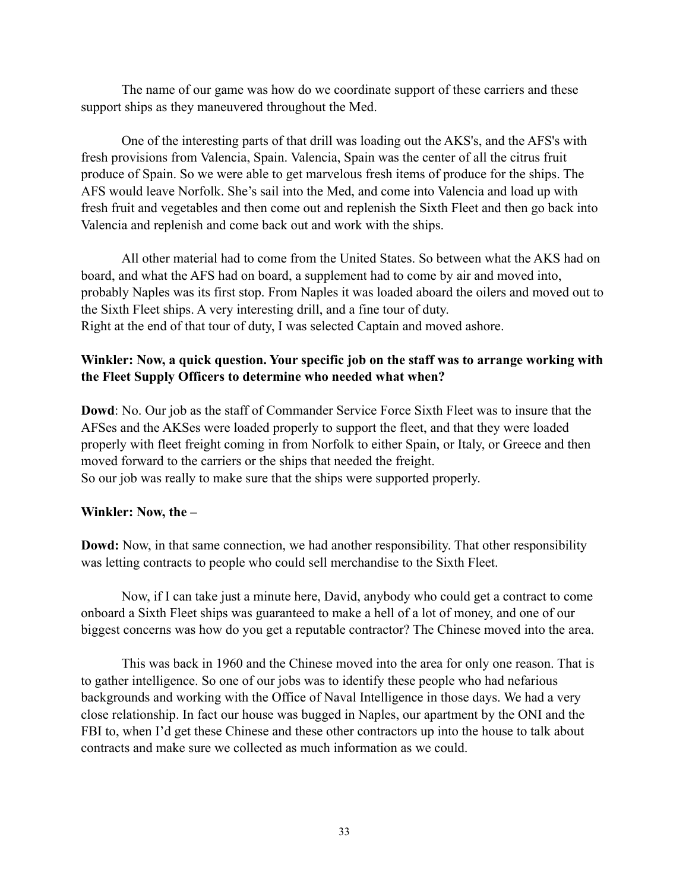The name of our game was how do we coordinate support of these carriers and these support ships as they maneuvered throughout the Med.

One of the interesting parts of that drill was loading out the AKS's, and the AFS's with fresh provisions from Valencia, Spain. Valencia, Spain was the center of all the citrus fruit produce of Spain. So we were able to get marvelous fresh items of produce for the ships. The AFS would leave Norfolk. She's sail into the Med, and come into Valencia and load up with fresh fruit and vegetables and then come out and replenish the Sixth Fleet and then go back into Valencia and replenish and come back out and work with the ships.

All other material had to come from the United States. So between what the AKS had on board, and what the AFS had on board, a supplement had to come by air and moved into, probably Naples was its first stop. From Naples it was loaded aboard the oilers and moved out to the Sixth Fleet ships. A very interesting drill, and a fine tour of duty. Right at the end of that tour of duty, I was selected Captain and moved ashore.

#### **Winkler: Now, a quick question. Your specific job on the staff was to arrange working with the Fleet Supply Officers to determine who needed what when?**

**Dowd**: No. Our job as the staff of Commander Service Force Sixth Fleet was to insure that the AFSes and the AKSes were loaded properly to support the fleet, and that they were loaded properly with fleet freight coming in from Norfolk to either Spain, or Italy, or Greece and then moved forward to the carriers or the ships that needed the freight. So our job was really to make sure that the ships were supported properly.

#### **Winkler: Now, the –**

**Dowd:** Now, in that same connection, we had another responsibility. That other responsibility was letting contracts to people who could sell merchandise to the Sixth Fleet.

Now, if I can take just a minute here, David, anybody who could get a contract to come onboard a Sixth Fleet ships was guaranteed to make a hell of a lot of money, and one of our biggest concerns was how do you get a reputable contractor? The Chinese moved into the area.

This was back in 1960 and the Chinese moved into the area for only one reason. That is to gather intelligence. So one of our jobs was to identify these people who had nefarious backgrounds and working with the Office of Naval Intelligence in those days. We had a very close relationship. In fact our house was bugged in Naples, our apartment by the ONI and the FBI to, when I'd get these Chinese and these other contractors up into the house to talk about contracts and make sure we collected as much information as we could.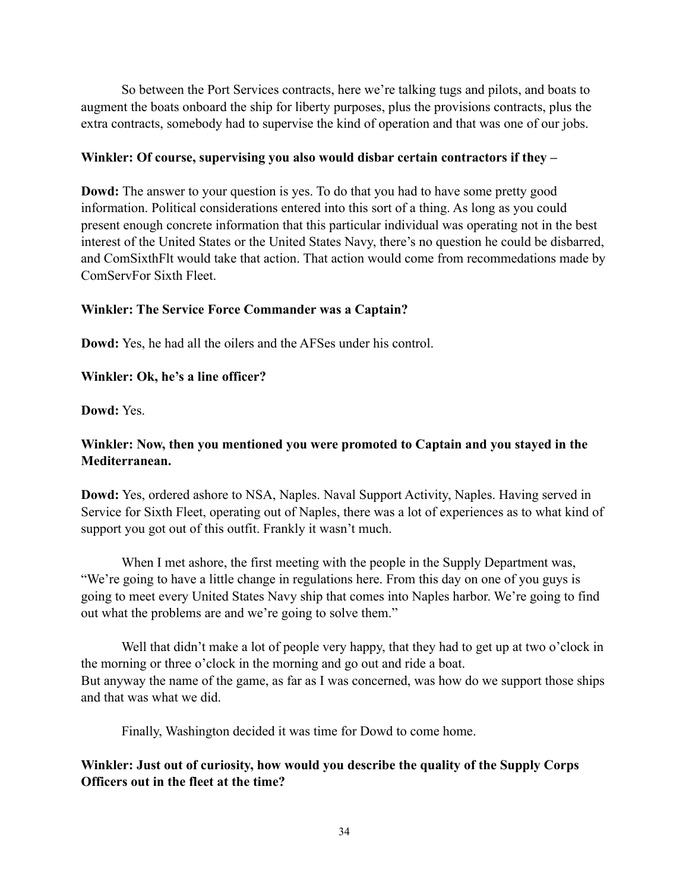So between the Port Services contracts, here we're talking tugs and pilots, and boats to augment the boats onboard the ship for liberty purposes, plus the provisions contracts, plus the extra contracts, somebody had to supervise the kind of operation and that was one of our jobs.

## **Winkler: Of course, supervising you also would disbar certain contractors if they –**

**Dowd:** The answer to your question is yes. To do that you had to have some pretty good information. Political considerations entered into this sort of a thing. As long as you could present enough concrete information that this particular individual was operating not in the best interest of the United States or the United States Navy, there's no question he could be disbarred, and ComSixthFlt would take that action. That action would come from recommedations made by ComServFor Sixth Fleet.

# **Winkler: The Service Force Commander was a Captain?**

**Dowd:** Yes, he had all the oilers and the AFSes under his control.

# **Winkler: Ok, he's a line officer?**

**Dowd:** Yes.

# **Winkler: Now, then you mentioned you were promoted to Captain and you stayed in the Mediterranean.**

**Dowd:** Yes, ordered ashore to NSA, Naples. Naval Support Activity, Naples. Having served in Service for Sixth Fleet, operating out of Naples, there was a lot of experiences as to what kind of support you got out of this outfit. Frankly it wasn't much.

When I met ashore, the first meeting with the people in the Supply Department was, "We're going to have a little change in regulations here. From this day on one of you guys is going to meet every United States Navy ship that comes into Naples harbor. We're going to find out what the problems are and we're going to solve them."

Well that didn't make a lot of people very happy, that they had to get up at two o'clock in the morning or three o'clock in the morning and go out and ride a boat. But anyway the name of the game, as far as I was concerned, was how do we support those ships and that was what we did.

Finally, Washington decided it was time for Dowd to come home.

# **Winkler: Just out of curiosity, how would you describe the quality of the Supply Corps Officers out in the fleet at the time?**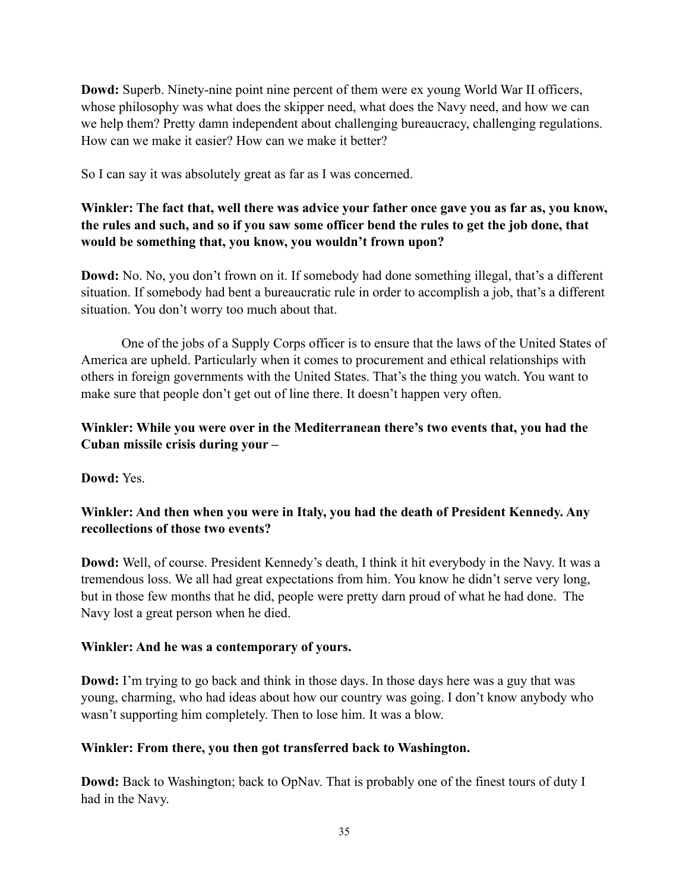**Dowd:** Superb. Ninety-nine point nine percent of them were ex young World War II officers, whose philosophy was what does the skipper need, what does the Navy need, and how we can we help them? Pretty damn independent about challenging bureaucracy, challenging regulations. How can we make it easier? How can we make it better?

So I can say it was absolutely great as far as I was concerned.

# **Winkler: The fact that, well there was advice your father once gave you as far as, you know, the rules and such, and so if you saw some officer bend the rules to get the job done, that would be something that, you know, you wouldn't frown upon?**

**Dowd:** No. No, you don't frown on it. If somebody had done something illegal, that's a different situation. If somebody had bent a bureaucratic rule in order to accomplish a job, that's a different situation. You don't worry too much about that.

One of the jobs of a Supply Corps officer is to ensure that the laws of the United States of America are upheld. Particularly when it comes to procurement and ethical relationships with others in foreign governments with the United States. That's the thing you watch. You want to make sure that people don't get out of line there. It doesn't happen very often.

# **Winkler: While you were over in the Mediterranean there's two events that, you had the Cuban missile crisis during your –**

**Dowd:** Yes.

# **Winkler: And then when you were in Italy, you had the death of President Kennedy. Any recollections of those two events?**

**Dowd:** Well, of course. President Kennedy's death, I think it hit everybody in the Navy. It was a tremendous loss. We all had great expectations from him. You know he didn't serve very long, but in those few months that he did, people were pretty darn proud of what he had done. The Navy lost a great person when he died.

## **Winkler: And he was a contemporary of yours.**

**Dowd:** I'm trying to go back and think in those days. In those days here was a guy that was young, charming, who had ideas about how our country was going. I don't know anybody who wasn't supporting him completely. Then to lose him. It was a blow.

# **Winkler: From there, you then got transferred back to Washington.**

**Dowd:** Back to Washington; back to OpNav. That is probably one of the finest tours of duty I had in the Navy.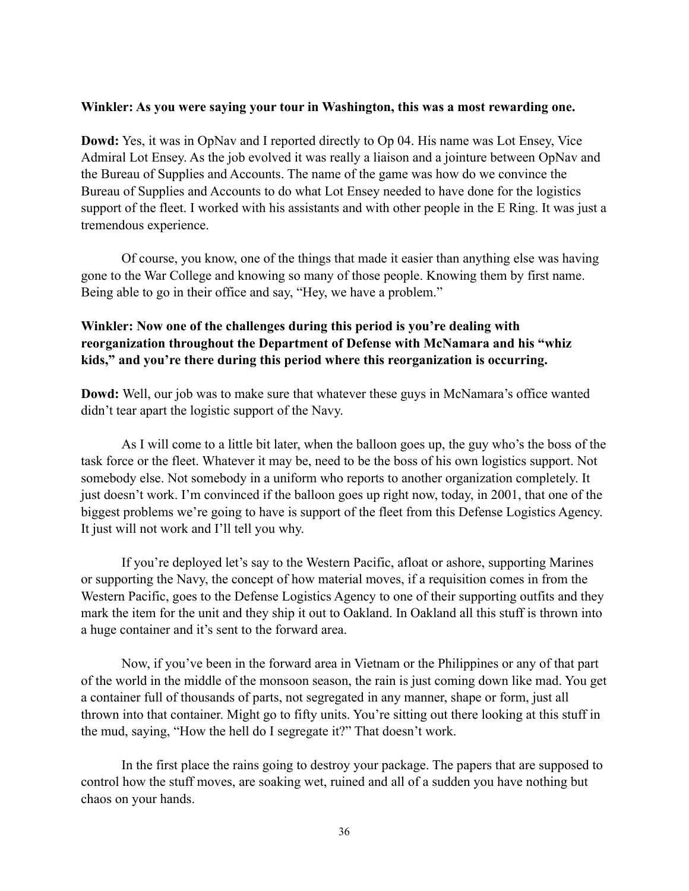#### **Winkler: As you were saying your tour in Washington, this was a most rewarding one.**

**Dowd:** Yes, it was in OpNav and I reported directly to Op 04. His name was Lot Ensey, Vice Admiral Lot Ensey. As the job evolved it was really a liaison and a jointure between OpNav and the Bureau of Supplies and Accounts. The name of the game was how do we convince the Bureau of Supplies and Accounts to do what Lot Ensey needed to have done for the logistics support of the fleet. I worked with his assistants and with other people in the E Ring. It was just a tremendous experience.

Of course, you know, one of the things that made it easier than anything else was having gone to the War College and knowing so many of those people. Knowing them by first name. Being able to go in their office and say, "Hey, we have a problem."

# **Winkler: Now one of the challenges during this period is you're dealing with reorganization throughout the Department of Defense with McNamara and his "whiz kids," and you're there during this period where this reorganization is occurring.**

**Dowd:** Well, our job was to make sure that whatever these guys in McNamara's office wanted didn't tear apart the logistic support of the Navy.

As I will come to a little bit later, when the balloon goes up, the guy who's the boss of the task force or the fleet. Whatever it may be, need to be the boss of his own logistics support. Not somebody else. Not somebody in a uniform who reports to another organization completely. It just doesn't work. I'm convinced if the balloon goes up right now, today, in 2001, that one of the biggest problems we're going to have is support of the fleet from this Defense Logistics Agency. It just will not work and I'll tell you why.

If you're deployed let's say to the Western Pacific, afloat or ashore, supporting Marines or supporting the Navy, the concept of how material moves, if a requisition comes in from the Western Pacific, goes to the Defense Logistics Agency to one of their supporting outfits and they mark the item for the unit and they ship it out to Oakland. In Oakland all this stuff is thrown into a huge container and it's sent to the forward area.

Now, if you've been in the forward area in Vietnam or the Philippines or any of that part of the world in the middle of the monsoon season, the rain is just coming down like mad. You get a container full of thousands of parts, not segregated in any manner, shape or form, just all thrown into that container. Might go to fifty units. You're sitting out there looking at this stuff in the mud, saying, "How the hell do I segregate it?" That doesn't work.

In the first place the rains going to destroy your package. The papers that are supposed to control how the stuff moves, are soaking wet, ruined and all of a sudden you have nothing but chaos on your hands.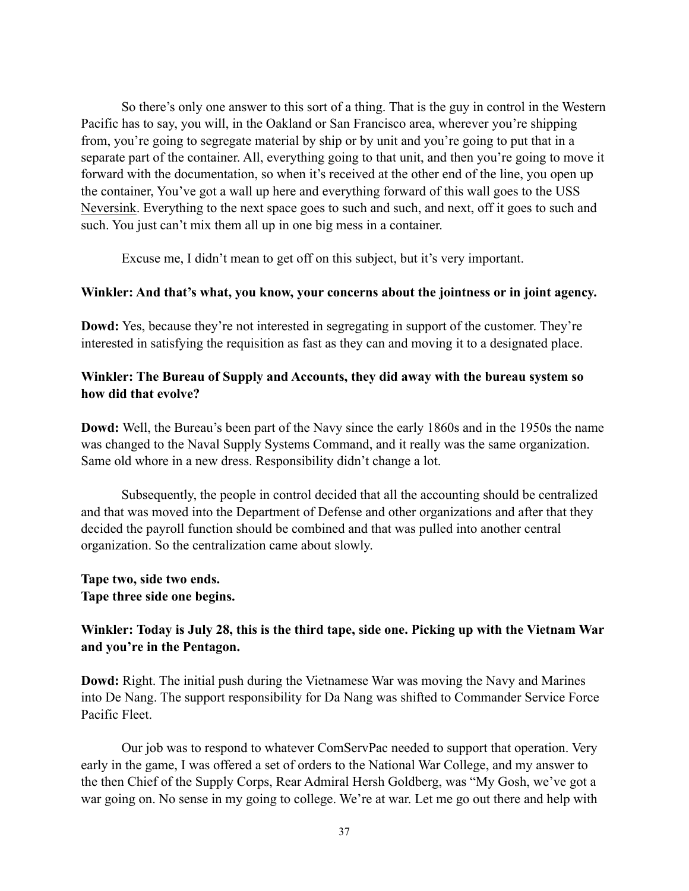So there's only one answer to this sort of a thing. That is the guy in control in the Western Pacific has to say, you will, in the Oakland or San Francisco area, wherever you're shipping from, you're going to segregate material by ship or by unit and you're going to put that in a separate part of the container. All, everything going to that unit, and then you're going to move it forward with the documentation, so when it's received at the other end of the line, you open up the container, You've got a wall up here and everything forward of this wall goes to the USS Neversink. Everything to the next space goes to such and such, and next, off it goes to such and such. You just can't mix them all up in one big mess in a container.

Excuse me, I didn't mean to get off on this subject, but it's very important.

#### **Winkler: And that's what, you know, your concerns about the jointness or in joint agency.**

**Dowd:** Yes, because they're not interested in segregating in support of the customer. They're interested in satisfying the requisition as fast as they can and moving it to a designated place.

## **Winkler: The Bureau of Supply and Accounts, they did away with the bureau system so how did that evolve?**

**Dowd:** Well, the Bureau's been part of the Navy since the early 1860s and in the 1950s the name was changed to the Naval Supply Systems Command, and it really was the same organization. Same old whore in a new dress. Responsibility didn't change a lot.

Subsequently, the people in control decided that all the accounting should be centralized and that was moved into the Department of Defense and other organizations and after that they decided the payroll function should be combined and that was pulled into another central organization. So the centralization came about slowly.

## **Tape two, side two ends. Tape three side one begins.**

# **Winkler: Today is July 28, this is the third tape, side one. Picking up with the Vietnam War and you're in the Pentagon.**

**Dowd:** Right. The initial push during the Vietnamese War was moving the Navy and Marines into De Nang. The support responsibility for Da Nang was shifted to Commander Service Force Pacific Fleet.

Our job was to respond to whatever ComServPac needed to support that operation. Very early in the game, I was offered a set of orders to the National War College, and my answer to the then Chief of the Supply Corps, Rear Admiral Hersh Goldberg, was "My Gosh, we've got a war going on. No sense in my going to college. We're at war. Let me go out there and help with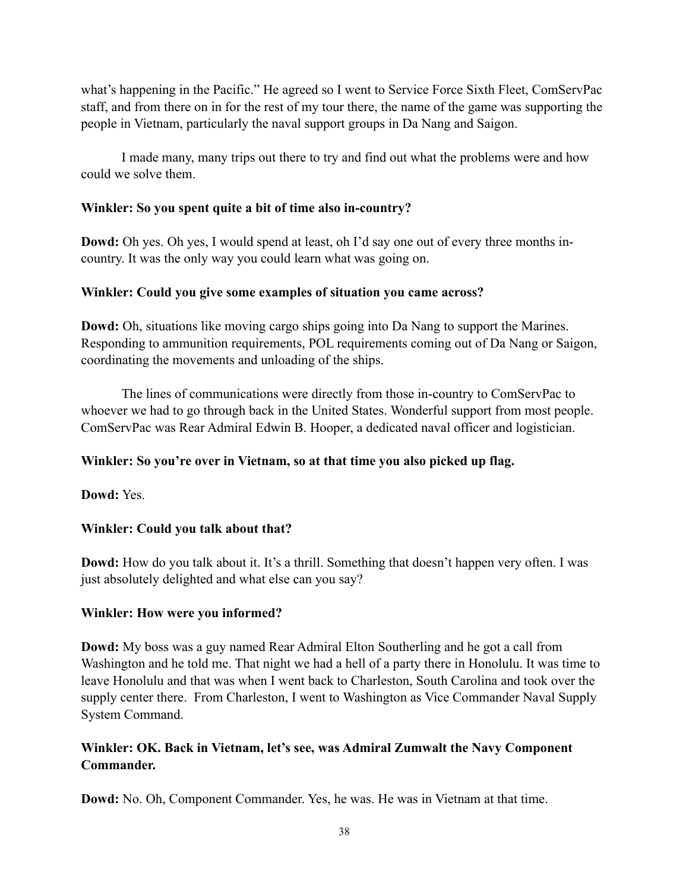what's happening in the Pacific." He agreed so I went to Service Force Sixth Fleet, ComServPac staff, and from there on in for the rest of my tour there, the name of the game was supporting the people in Vietnam, particularly the naval support groups in Da Nang and Saigon.

I made many, many trips out there to try and find out what the problems were and how could we solve them.

## **Winkler: So you spent quite a bit of time also in-country?**

**Dowd:** Oh yes. Oh yes, I would spend at least, oh I'd say one out of every three months incountry. It was the only way you could learn what was going on.

# **Winkler: Could you give some examples of situation you came across?**

**Dowd:** Oh, situations like moving cargo ships going into Da Nang to support the Marines. Responding to ammunition requirements, POL requirements coming out of Da Nang or Saigon, coordinating the movements and unloading of the ships.

The lines of communications were directly from those in-country to ComServPac to whoever we had to go through back in the United States. Wonderful support from most people. ComServPac was Rear Admiral Edwin B. Hooper, a dedicated naval officer and logistician.

# **Winkler: So you're over in Vietnam, so at that time you also picked up flag.**

**Dowd:** Yes.

# **Winkler: Could you talk about that?**

**Dowd:** How do you talk about it. It's a thrill. Something that doesn't happen very often. I was just absolutely delighted and what else can you say?

# **Winkler: How were you informed?**

**Dowd:** My boss was a guy named Rear Admiral Elton Southerling and he got a call from Washington and he told me. That night we had a hell of a party there in Honolulu. It was time to leave Honolulu and that was when I went back to Charleston, South Carolina and took over the supply center there. From Charleston, I went to Washington as Vice Commander Naval Supply System Command.

# **Winkler: OK. Back in Vietnam, let's see, was Admiral Zumwalt the Navy Component Commander.**

**Dowd:** No. Oh, Component Commander. Yes, he was. He was in Vietnam at that time.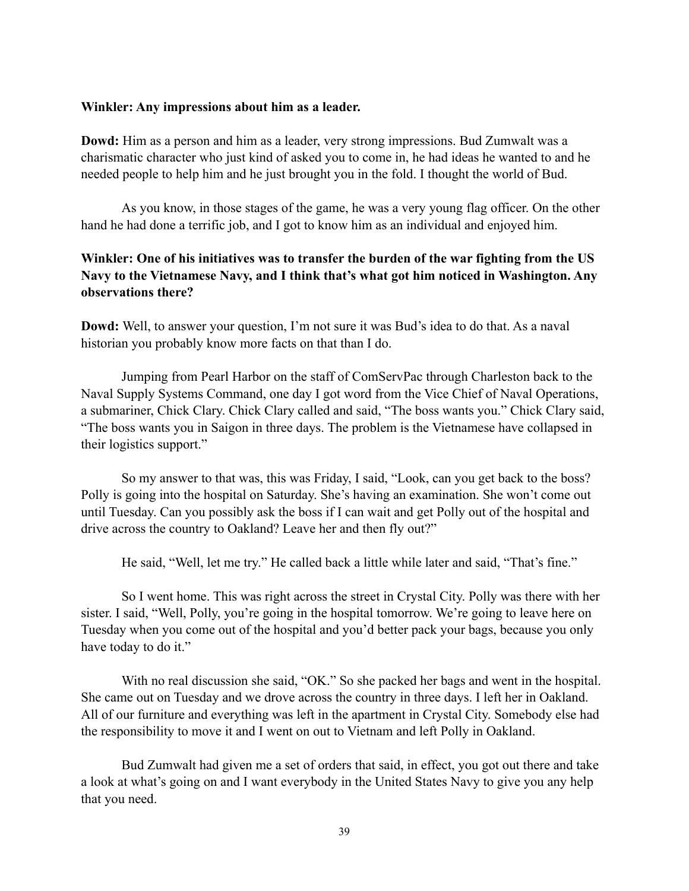#### **Winkler: Any impressions about him as a leader.**

**Dowd:** Him as a person and him as a leader, very strong impressions. Bud Zumwalt was a charismatic character who just kind of asked you to come in, he had ideas he wanted to and he needed people to help him and he just brought you in the fold. I thought the world of Bud.

As you know, in those stages of the game, he was a very young flag officer. On the other hand he had done a terrific job, and I got to know him as an individual and enjoyed him.

# **Winkler: One of his initiatives was to transfer the burden of the war fighting from the US Navy to the Vietnamese Navy, and I think that's what got him noticed in Washington. Any observations there?**

**Dowd:** Well, to answer your question, I'm not sure it was Bud's idea to do that. As a naval historian you probably know more facts on that than I do.

Jumping from Pearl Harbor on the staff of ComServPac through Charleston back to the Naval Supply Systems Command, one day I got word from the Vice Chief of Naval Operations, a submariner, Chick Clary. Chick Clary called and said, "The boss wants you." Chick Clary said, "The boss wants you in Saigon in three days. The problem is the Vietnamese have collapsed in their logistics support."

So my answer to that was, this was Friday, I said, "Look, can you get back to the boss? Polly is going into the hospital on Saturday. She's having an examination. She won't come out until Tuesday. Can you possibly ask the boss if I can wait and get Polly out of the hospital and drive across the country to Oakland? Leave her and then fly out?"

He said, "Well, let me try." He called back a little while later and said, "That's fine."

So I went home. This was right across the street in Crystal City. Polly was there with her sister. I said, "Well, Polly, you're going in the hospital tomorrow. We're going to leave here on Tuesday when you come out of the hospital and you'd better pack your bags, because you only have today to do it."

With no real discussion she said, "OK." So she packed her bags and went in the hospital. She came out on Tuesday and we drove across the country in three days. I left her in Oakland. All of our furniture and everything was left in the apartment in Crystal City. Somebody else had the responsibility to move it and I went on out to Vietnam and left Polly in Oakland.

Bud Zumwalt had given me a set of orders that said, in effect, you got out there and take a look at what's going on and I want everybody in the United States Navy to give you any help that you need.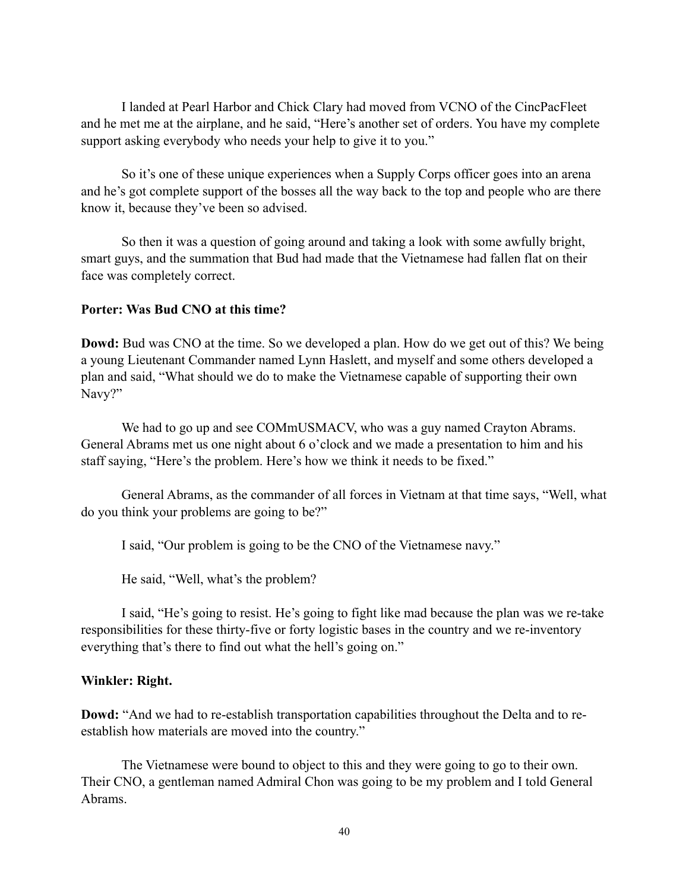I landed at Pearl Harbor and Chick Clary had moved from VCNO of the CincPacFleet and he met me at the airplane, and he said, "Here's another set of orders. You have my complete support asking everybody who needs your help to give it to you."

So it's one of these unique experiences when a Supply Corps officer goes into an arena and he's got complete support of the bosses all the way back to the top and people who are there know it, because they've been so advised.

So then it was a question of going around and taking a look with some awfully bright, smart guys, and the summation that Bud had made that the Vietnamese had fallen flat on their face was completely correct.

#### **Porter: Was Bud CNO at this time?**

**Dowd:** Bud was CNO at the time. So we developed a plan. How do we get out of this? We being a young Lieutenant Commander named Lynn Haslett, and myself and some others developed a plan and said, "What should we do to make the Vietnamese capable of supporting their own Navy?"

We had to go up and see COMmUSMACV, who was a guy named Crayton Abrams. General Abrams met us one night about 6 o'clock and we made a presentation to him and his staff saying, "Here's the problem. Here's how we think it needs to be fixed."

General Abrams, as the commander of all forces in Vietnam at that time says, "Well, what do you think your problems are going to be?"

I said, "Our problem is going to be the CNO of the Vietnamese navy."

He said, "Well, what's the problem?

I said, "He's going to resist. He's going to fight like mad because the plan was we re-take responsibilities for these thirty-five or forty logistic bases in the country and we re-inventory everything that's there to find out what the hell's going on."

#### **Winkler: Right.**

**Dowd:** "And we had to re-establish transportation capabilities throughout the Delta and to reestablish how materials are moved into the country."

The Vietnamese were bound to object to this and they were going to go to their own. Their CNO, a gentleman named Admiral Chon was going to be my problem and I told General Abrams.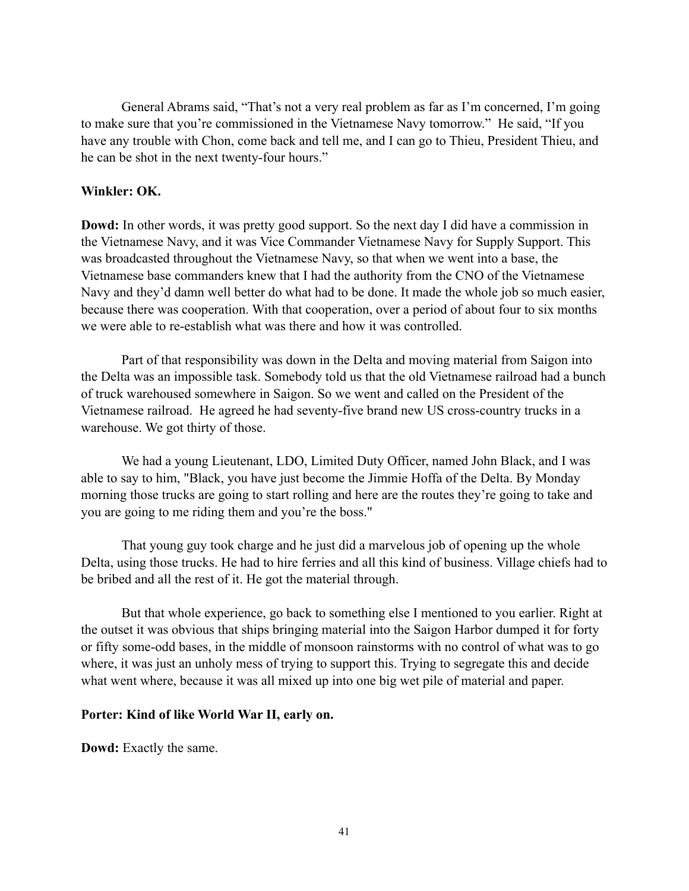General Abrams said, "That's not a very real problem as far as I'm concerned, I'm going to make sure that you're commissioned in the Vietnamese Navy tomorrow." He said, "If you have any trouble with Chon, come back and tell me, and I can go to Thieu, President Thieu, and he can be shot in the next twenty-four hours."

#### **Winkler: OK.**

**Dowd:** In other words, it was pretty good support. So the next day I did have a commission in the Vietnamese Navy, and it was Vice Commander Vietnamese Navy for Supply Support. This was broadcasted throughout the Vietnamese Navy, so that when we went into a base, the Vietnamese base commanders knew that I had the authority from the CNO of the Vietnamese Navy and they'd damn well better do what had to be done. It made the whole job so much easier, because there was cooperation. With that cooperation, over a period of about four to six months we were able to re-establish what was there and how it was controlled.

Part of that responsibility was down in the Delta and moving material from Saigon into the Delta was an impossible task. Somebody told us that the old Vietnamese railroad had a bunch of truck warehoused somewhere in Saigon. So we went and called on the President of the Vietnamese railroad. He agreed he had seventy-five brand new US cross-country trucks in a warehouse. We got thirty of those.

We had a young Lieutenant, LDO, Limited Duty Officer, named John Black, and I was able to say to him, "Black, you have just become the Jimmie Hoffa of the Delta. By Monday morning those trucks are going to start rolling and here are the routes they're going to take and you are going to me riding them and you're the boss."

That young guy took charge and he just did a marvelous job of opening up the whole Delta, using those trucks. He had to hire ferries and all this kind of business. Village chiefs had to be bribed and all the rest of it. He got the material through.

But that whole experience, go back to something else I mentioned to you earlier. Right at the outset it was obvious that ships bringing material into the Saigon Harbor dumped it for forty or fifty some-odd bases, in the middle of monsoon rainstorms with no control of what was to go where, it was just an unholy mess of trying to support this. Trying to segregate this and decide what went where, because it was all mixed up into one big wet pile of material and paper.

#### **Porter: Kind of like World War II, early on.**

**Dowd:** Exactly the same.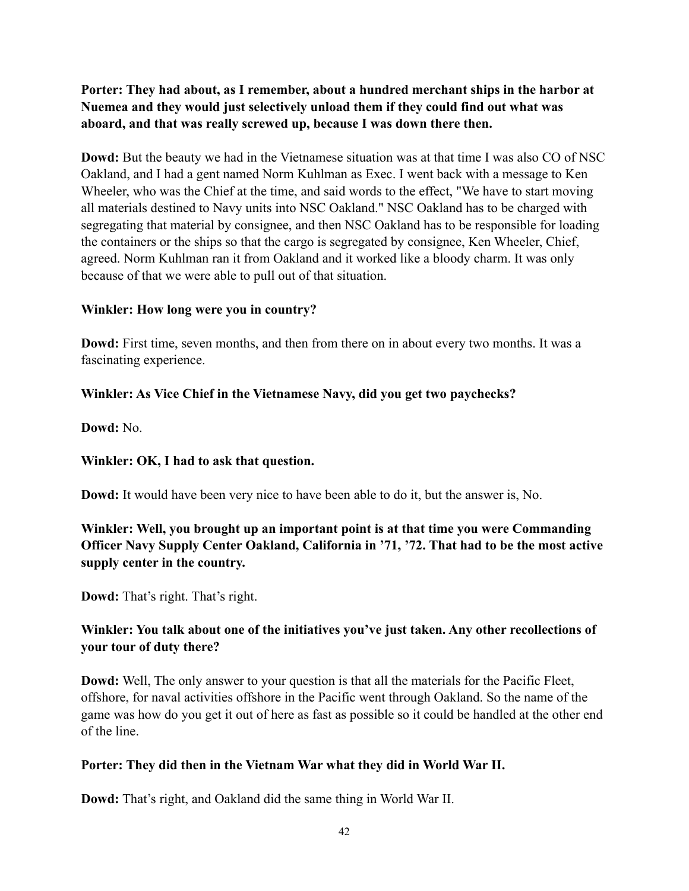**Porter: They had about, as I remember, about a hundred merchant ships in the harbor at Nuemea and they would just selectively unload them if they could find out what was aboard, and that was really screwed up, because I was down there then.**

**Dowd:** But the beauty we had in the Vietnamese situation was at that time I was also CO of NSC Oakland, and I had a gent named Norm Kuhlman as Exec. I went back with a message to Ken Wheeler, who was the Chief at the time, and said words to the effect, "We have to start moving all materials destined to Navy units into NSC Oakland." NSC Oakland has to be charged with segregating that material by consignee, and then NSC Oakland has to be responsible for loading the containers or the ships so that the cargo is segregated by consignee, Ken Wheeler, Chief, agreed. Norm Kuhlman ran it from Oakland and it worked like a bloody charm. It was only because of that we were able to pull out of that situation.

## **Winkler: How long were you in country?**

**Dowd:** First time, seven months, and then from there on in about every two months. It was a fascinating experience.

# **Winkler: As Vice Chief in the Vietnamese Navy, did you get two paychecks?**

**Dowd:** No.

# **Winkler: OK, I had to ask that question.**

**Dowd:** It would have been very nice to have been able to do it, but the answer is, No.

**Winkler: Well, you brought up an important point is at that time you were Commanding Officer Navy Supply Center Oakland, California in '71, '72. That had to be the most active supply center in the country.**

**Dowd:** That's right. That's right.

# **Winkler: You talk about one of the initiatives you've just taken. Any other recollections of your tour of duty there?**

**Dowd:** Well, The only answer to your question is that all the materials for the Pacific Fleet, offshore, for naval activities offshore in the Pacific went through Oakland. So the name of the game was how do you get it out of here as fast as possible so it could be handled at the other end of the line.

## **Porter: They did then in the Vietnam War what they did in World War II.**

**Dowd:** That's right, and Oakland did the same thing in World War II.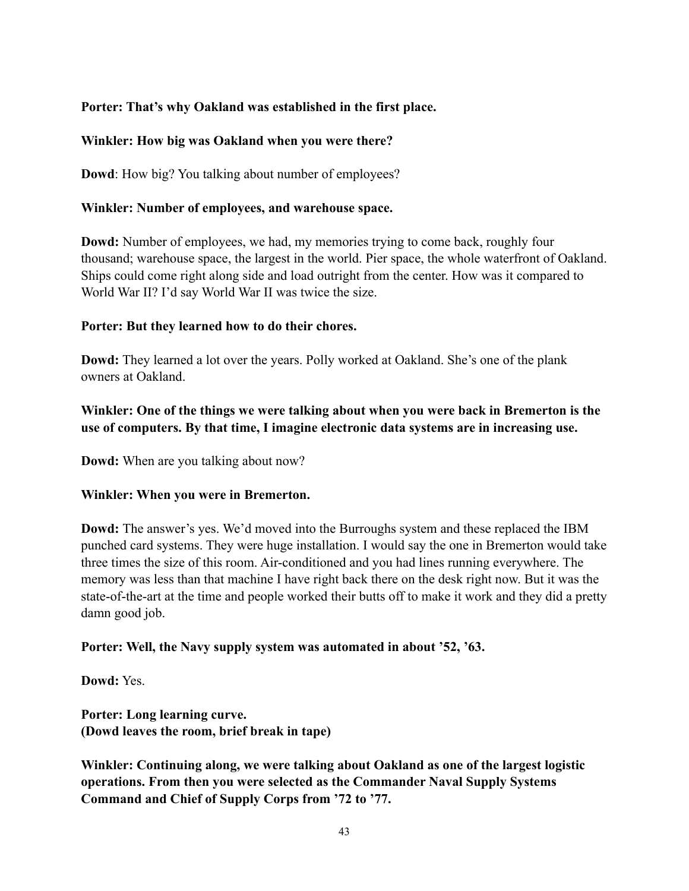# **Porter: That's why Oakland was established in the first place.**

## **Winkler: How big was Oakland when you were there?**

**Dowd**: How big? You talking about number of employees?

## **Winkler: Number of employees, and warehouse space.**

**Dowd:** Number of employees, we had, my memories trying to come back, roughly four thousand; warehouse space, the largest in the world. Pier space, the whole waterfront of Oakland. Ships could come right along side and load outright from the center. How was it compared to World War II? I'd say World War II was twice the size.

#### **Porter: But they learned how to do their chores.**

**Dowd:** They learned a lot over the years. Polly worked at Oakland. She's one of the plank owners at Oakland.

# **Winkler: One of the things we were talking about when you were back in Bremerton is the use of computers. By that time, I imagine electronic data systems are in increasing use.**

**Dowd:** When are you talking about now?

## **Winkler: When you were in Bremerton.**

**Dowd:** The answer's yes. We'd moved into the Burroughs system and these replaced the IBM punched card systems. They were huge installation. I would say the one in Bremerton would take three times the size of this room. Air-conditioned and you had lines running everywhere. The memory was less than that machine I have right back there on the desk right now. But it was the state-of-the-art at the time and people worked their butts off to make it work and they did a pretty damn good job.

## **Porter: Well, the Navy supply system was automated in about '52, '63.**

**Dowd:** Yes.

**Porter: Long learning curve. (Dowd leaves the room, brief break in tape)**

**Winkler: Continuing along, we were talking about Oakland as one of the largest logistic operations. From then you were selected as the Commander Naval Supply Systems Command and Chief of Supply Corps from '72 to '77.**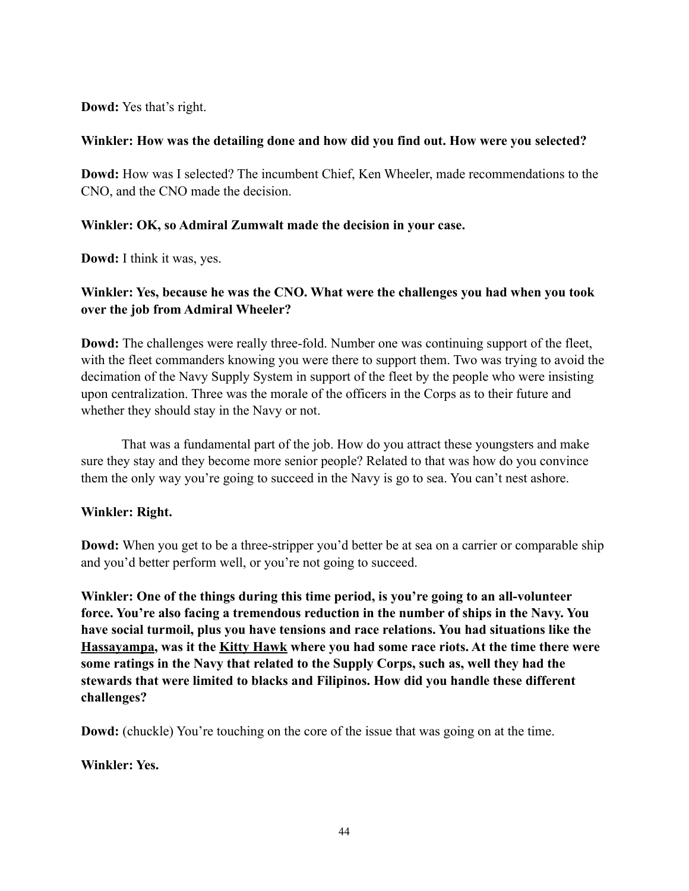**Dowd:** Yes that's right.

#### **Winkler: How was the detailing done and how did you find out. How were you selected?**

**Dowd:** How was I selected? The incumbent Chief, Ken Wheeler, made recommendations to the CNO, and the CNO made the decision.

## **Winkler: OK, so Admiral Zumwalt made the decision in your case.**

**Dowd:** I think it was, yes.

## **Winkler: Yes, because he was the CNO. What were the challenges you had when you took over the job from Admiral Wheeler?**

**Dowd:** The challenges were really three-fold. Number one was continuing support of the fleet, with the fleet commanders knowing you were there to support them. Two was trying to avoid the decimation of the Navy Supply System in support of the fleet by the people who were insisting upon centralization. Three was the morale of the officers in the Corps as to their future and whether they should stay in the Navy or not.

That was a fundamental part of the job. How do you attract these youngsters and make sure they stay and they become more senior people? Related to that was how do you convince them the only way you're going to succeed in the Navy is go to sea. You can't nest ashore.

## **Winkler: Right.**

**Dowd:** When you get to be a three-stripper you'd better be at sea on a carrier or comparable ship and you'd better perform well, or you're not going to succeed.

**Winkler: One of the things during this time period, is you're going to an all-volunteer force. You're also facing a tremendous reduction in the number of ships in the Navy. You have social turmoil, plus you have tensions and race relations. You had situations like the Hassayampa, was it the Kitty Hawk where you had some race riots. At the time there were some ratings in the Navy that related to the Supply Corps, such as, well they had the stewards that were limited to blacks and Filipinos. How did you handle these different challenges?** 

**Dowd:** (chuckle) You're touching on the core of the issue that was going on at the time.

**Winkler: Yes.**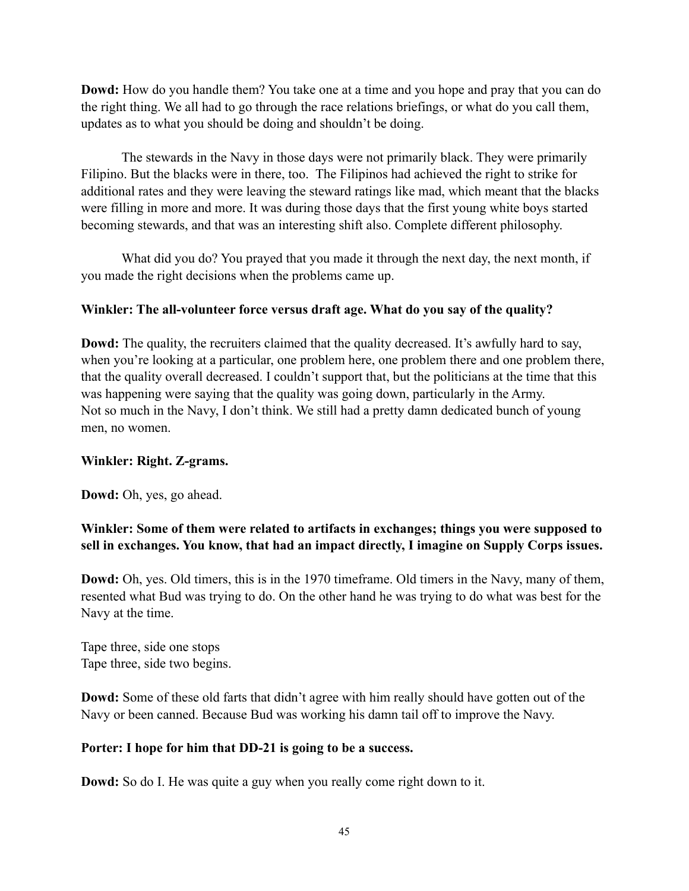**Dowd:** How do you handle them? You take one at a time and you hope and pray that you can do the right thing. We all had to go through the race relations briefings, or what do you call them, updates as to what you should be doing and shouldn't be doing.

The stewards in the Navy in those days were not primarily black. They were primarily Filipino. But the blacks were in there, too. The Filipinos had achieved the right to strike for additional rates and they were leaving the steward ratings like mad, which meant that the blacks were filling in more and more. It was during those days that the first young white boys started becoming stewards, and that was an interesting shift also. Complete different philosophy.

What did you do? You prayed that you made it through the next day, the next month, if you made the right decisions when the problems came up.

# **Winkler: The all-volunteer force versus draft age. What do you say of the quality?**

**Dowd:** The quality, the recruiters claimed that the quality decreased. It's awfully hard to say, when you're looking at a particular, one problem here, one problem there and one problem there, that the quality overall decreased. I couldn't support that, but the politicians at the time that this was happening were saying that the quality was going down, particularly in the Army. Not so much in the Navy, I don't think. We still had a pretty damn dedicated bunch of young men, no women.

## **Winkler: Right. Z-grams.**

**Dowd:** Oh, yes, go ahead.

# **Winkler: Some of them were related to artifacts in exchanges; things you were supposed to sell in exchanges. You know, that had an impact directly, I imagine on Supply Corps issues.**

**Dowd:** Oh, yes. Old timers, this is in the 1970 timeframe. Old timers in the Navy, many of them, resented what Bud was trying to do. On the other hand he was trying to do what was best for the Navy at the time.

Tape three, side one stops Tape three, side two begins.

**Dowd:** Some of these old farts that didn't agree with him really should have gotten out of the Navy or been canned. Because Bud was working his damn tail off to improve the Navy.

## **Porter: I hope for him that DD-21 is going to be a success.**

**Dowd:** So do I. He was quite a guy when you really come right down to it.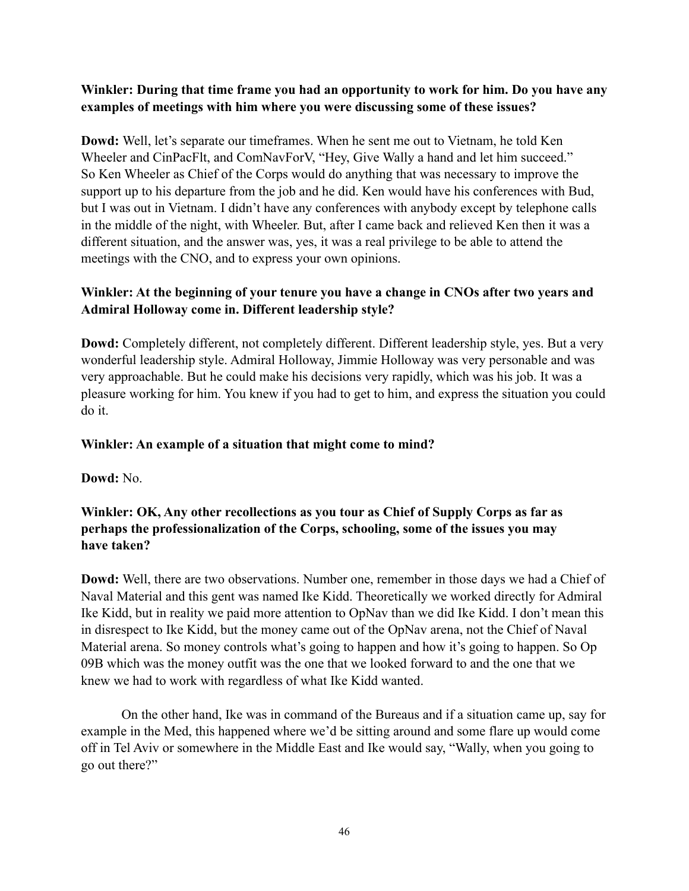# **Winkler: During that time frame you had an opportunity to work for him. Do you have any examples of meetings with him where you were discussing some of these issues?**

**Dowd:** Well, let's separate our timeframes. When he sent me out to Vietnam, he told Ken Wheeler and CinPacFlt, and ComNavForV, "Hey, Give Wally a hand and let him succeed." So Ken Wheeler as Chief of the Corps would do anything that was necessary to improve the support up to his departure from the job and he did. Ken would have his conferences with Bud, but I was out in Vietnam. I didn't have any conferences with anybody except by telephone calls in the middle of the night, with Wheeler. But, after I came back and relieved Ken then it was a different situation, and the answer was, yes, it was a real privilege to be able to attend the meetings with the CNO, and to express your own opinions.

# **Winkler: At the beginning of your tenure you have a change in CNOs after two years and Admiral Holloway come in. Different leadership style?**

**Dowd:** Completely different, not completely different. Different leadership style, yes. But a very wonderful leadership style. Admiral Holloway, Jimmie Holloway was very personable and was very approachable. But he could make his decisions very rapidly, which was his job. It was a pleasure working for him. You knew if you had to get to him, and express the situation you could do it.

## **Winkler: An example of a situation that might come to mind?**

**Dowd:** No.

# **Winkler: OK, Any other recollections as you tour as Chief of Supply Corps as far as perhaps the professionalization of the Corps, schooling, some of the issues you may have taken?**

**Dowd:** Well, there are two observations. Number one, remember in those days we had a Chief of Naval Material and this gent was named Ike Kidd. Theoretically we worked directly for Admiral Ike Kidd, but in reality we paid more attention to OpNav than we did Ike Kidd. I don't mean this in disrespect to Ike Kidd, but the money came out of the OpNav arena, not the Chief of Naval Material arena. So money controls what's going to happen and how it's going to happen. So Op 09B which was the money outfit was the one that we looked forward to and the one that we knew we had to work with regardless of what Ike Kidd wanted.

On the other hand, Ike was in command of the Bureaus and if a situation came up, say for example in the Med, this happened where we'd be sitting around and some flare up would come off in Tel Aviv or somewhere in the Middle East and Ike would say, "Wally, when you going to go out there?"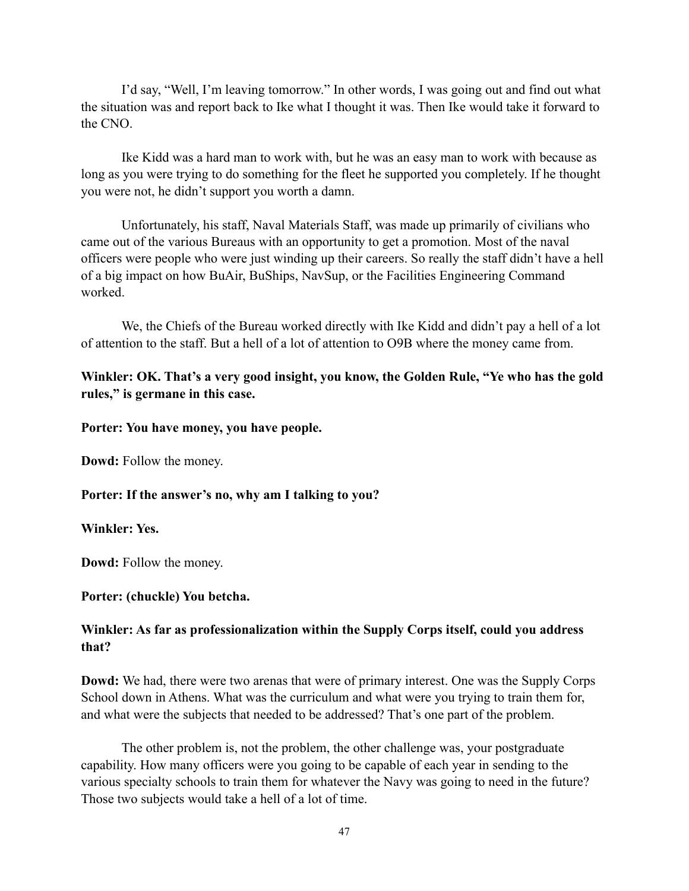I'd say, "Well, I'm leaving tomorrow." In other words, I was going out and find out what the situation was and report back to Ike what I thought it was. Then Ike would take it forward to the CNO.

Ike Kidd was a hard man to work with, but he was an easy man to work with because as long as you were trying to do something for the fleet he supported you completely. If he thought you were not, he didn't support you worth a damn.

Unfortunately, his staff, Naval Materials Staff, was made up primarily of civilians who came out of the various Bureaus with an opportunity to get a promotion. Most of the naval officers were people who were just winding up their careers. So really the staff didn't have a hell of a big impact on how BuAir, BuShips, NavSup, or the Facilities Engineering Command worked.

We, the Chiefs of the Bureau worked directly with Ike Kidd and didn't pay a hell of a lot of attention to the staff. But a hell of a lot of attention to O9B where the money came from.

## **Winkler: OK. That's a very good insight, you know, the Golden Rule, "Ye who has the gold rules," is germane in this case.**

## **Porter: You have money, you have people.**

**Dowd:** Follow the money.

## **Porter: If the answer's no, why am I talking to you?**

**Winkler: Yes.**

**Dowd:** Follow the money.

#### **Porter: (chuckle) You betcha.**

# **Winkler: As far as professionalization within the Supply Corps itself, could you address that?**

**Dowd:** We had, there were two arenas that were of primary interest. One was the Supply Corps School down in Athens. What was the curriculum and what were you trying to train them for, and what were the subjects that needed to be addressed? That's one part of the problem.

The other problem is, not the problem, the other challenge was, your postgraduate capability. How many officers were you going to be capable of each year in sending to the various specialty schools to train them for whatever the Navy was going to need in the future? Those two subjects would take a hell of a lot of time.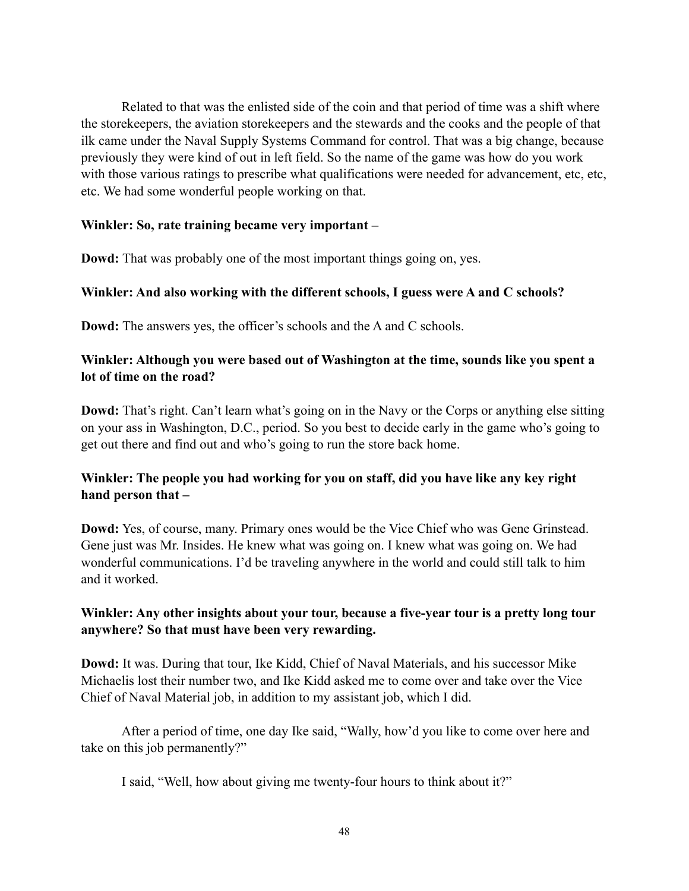Related to that was the enlisted side of the coin and that period of time was a shift where the storekeepers, the aviation storekeepers and the stewards and the cooks and the people of that ilk came under the Naval Supply Systems Command for control. That was a big change, because previously they were kind of out in left field. So the name of the game was how do you work with those various ratings to prescribe what qualifications were needed for advancement, etc, etc, etc. We had some wonderful people working on that.

#### **Winkler: So, rate training became very important –**

**Dowd:** That was probably one of the most important things going on, yes.

## **Winkler: And also working with the different schools, I guess were A and C schools?**

**Dowd:** The answers yes, the officer's schools and the A and C schools.

## **Winkler: Although you were based out of Washington at the time, sounds like you spent a lot of time on the road?**

**Dowd:** That's right. Can't learn what's going on in the Navy or the Corps or anything else sitting on your ass in Washington, D.C., period. So you best to decide early in the game who's going to get out there and find out and who's going to run the store back home.

# **Winkler: The people you had working for you on staff, did you have like any key right hand person that –**

**Dowd:** Yes, of course, many. Primary ones would be the Vice Chief who was Gene Grinstead. Gene just was Mr. Insides. He knew what was going on. I knew what was going on. We had wonderful communications. I'd be traveling anywhere in the world and could still talk to him and it worked.

# **Winkler: Any other insights about your tour, because a five-year tour is a pretty long tour anywhere? So that must have been very rewarding.**

**Dowd:** It was. During that tour, Ike Kidd, Chief of Naval Materials, and his successor Mike Michaelis lost their number two, and Ike Kidd asked me to come over and take over the Vice Chief of Naval Material job, in addition to my assistant job, which I did.

After a period of time, one day Ike said, "Wally, how'd you like to come over here and take on this job permanently?"

I said, "Well, how about giving me twenty-four hours to think about it?"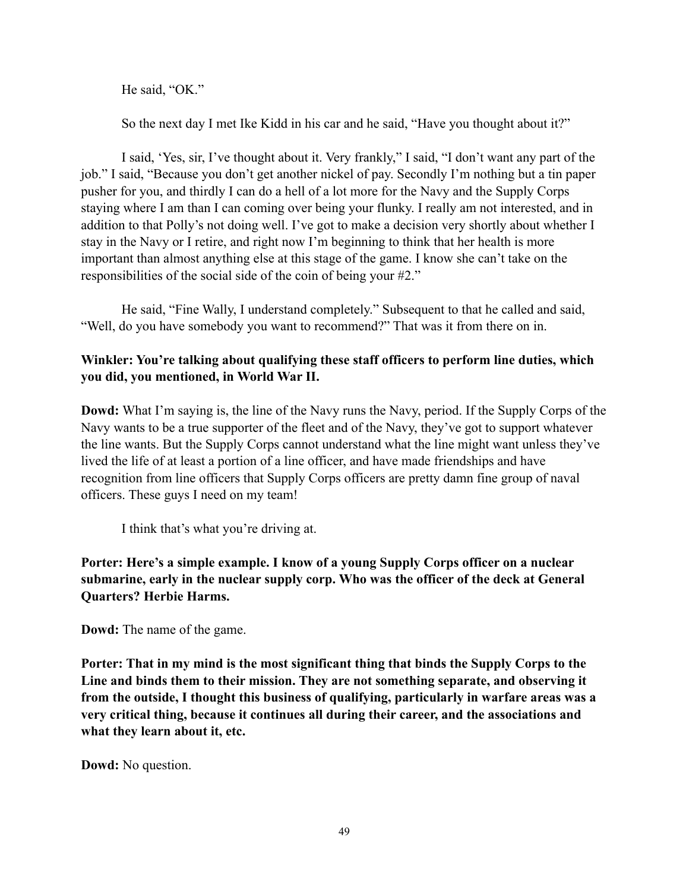He said, "OK."

So the next day I met Ike Kidd in his car and he said, "Have you thought about it?"

I said, 'Yes, sir, I've thought about it. Very frankly," I said, "I don't want any part of the job." I said, "Because you don't get another nickel of pay. Secondly I'm nothing but a tin paper pusher for you, and thirdly I can do a hell of a lot more for the Navy and the Supply Corps staying where I am than I can coming over being your flunky. I really am not interested, and in addition to that Polly's not doing well. I've got to make a decision very shortly about whether I stay in the Navy or I retire, and right now I'm beginning to think that her health is more important than almost anything else at this stage of the game. I know she can't take on the responsibilities of the social side of the coin of being your #2."

He said, "Fine Wally, I understand completely." Subsequent to that he called and said, "Well, do you have somebody you want to recommend?" That was it from there on in.

# **Winkler: You're talking about qualifying these staff officers to perform line duties, which you did, you mentioned, in World War II.**

**Dowd:** What I'm saying is, the line of the Navy runs the Navy, period. If the Supply Corps of the Navy wants to be a true supporter of the fleet and of the Navy, they've got to support whatever the line wants. But the Supply Corps cannot understand what the line might want unless they've lived the life of at least a portion of a line officer, and have made friendships and have recognition from line officers that Supply Corps officers are pretty damn fine group of naval officers. These guys I need on my team!

I think that's what you're driving at.

# **Porter: Here's a simple example. I know of a young Supply Corps officer on a nuclear submarine, early in the nuclear supply corp. Who was the officer of the deck at General Quarters? Herbie Harms.**

**Dowd:** The name of the game.

**Porter: That in my mind is the most significant thing that binds the Supply Corps to the Line and binds them to their mission. They are not something separate, and observing it from the outside, I thought this business of qualifying, particularly in warfare areas was a very critical thing, because it continues all during their career, and the associations and what they learn about it, etc.**

**Dowd:** No question.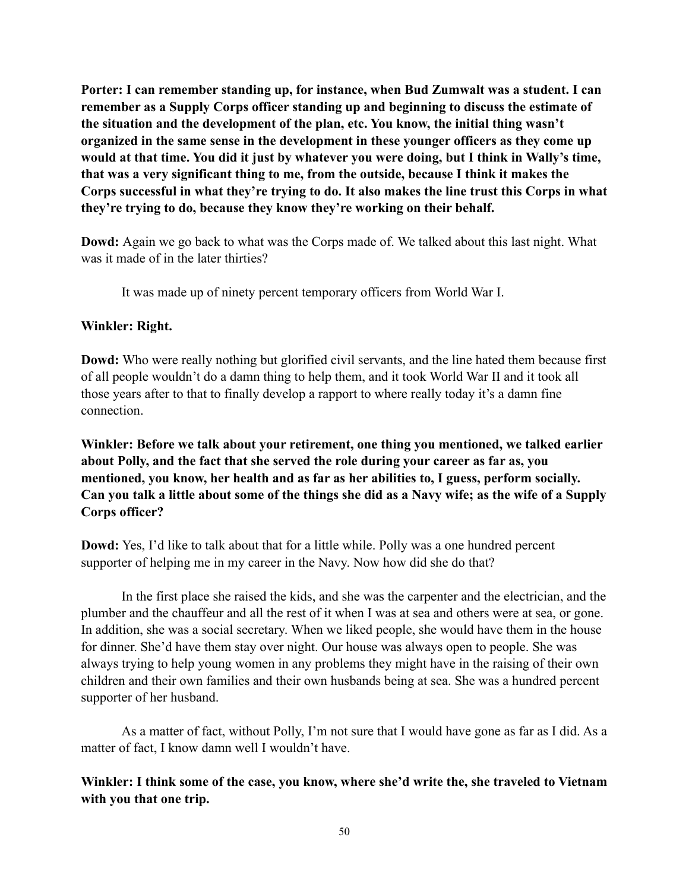**Porter: I can remember standing up, for instance, when Bud Zumwalt was a student. I can remember as a Supply Corps officer standing up and beginning to discuss the estimate of the situation and the development of the plan, etc. You know, the initial thing wasn't organized in the same sense in the development in these younger officers as they come up would at that time. You did it just by whatever you were doing, but I think in Wally's time, that was a very significant thing to me, from the outside, because I think it makes the Corps successful in what they're trying to do. It also makes the line trust this Corps in what they're trying to do, because they know they're working on their behalf.**

**Dowd:** Again we go back to what was the Corps made of. We talked about this last night. What was it made of in the later thirties?

It was made up of ninety percent temporary officers from World War I.

#### **Winkler: Right.**

**Dowd:** Who were really nothing but glorified civil servants, and the line hated them because first of all people wouldn't do a damn thing to help them, and it took World War II and it took all those years after to that to finally develop a rapport to where really today it's a damn fine connection.

**Winkler: Before we talk about your retirement, one thing you mentioned, we talked earlier about Polly, and the fact that she served the role during your career as far as, you mentioned, you know, her health and as far as her abilities to, I guess, perform socially. Can you talk a little about some of the things she did as a Navy wife; as the wife of a Supply Corps officer?**

**Dowd:** Yes, I'd like to talk about that for a little while. Polly was a one hundred percent supporter of helping me in my career in the Navy. Now how did she do that?

In the first place she raised the kids, and she was the carpenter and the electrician, and the plumber and the chauffeur and all the rest of it when I was at sea and others were at sea, or gone. In addition, she was a social secretary. When we liked people, she would have them in the house for dinner. She'd have them stay over night. Our house was always open to people. She was always trying to help young women in any problems they might have in the raising of their own children and their own families and their own husbands being at sea. She was a hundred percent supporter of her husband.

As a matter of fact, without Polly, I'm not sure that I would have gone as far as I did. As a matter of fact, I know damn well I wouldn't have.

**Winkler: I think some of the case, you know, where she'd write the, she traveled to Vietnam with you that one trip.**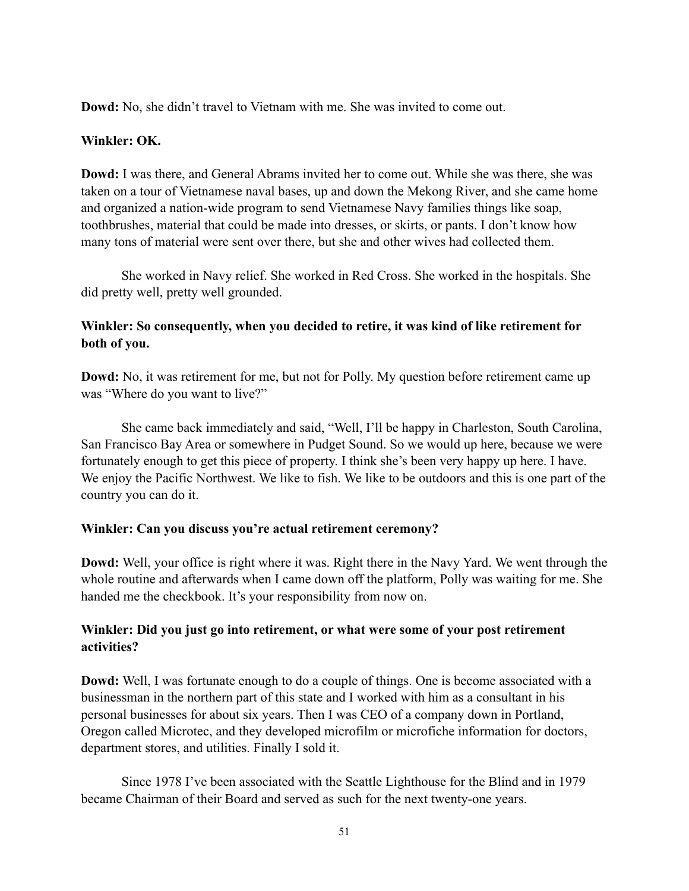**Dowd:** No, she didn't travel to Vietnam with me. She was invited to come out.

## **Winkler: OK.**

**Dowd:** I was there, and General Abrams invited her to come out. While she was there, she was taken on a tour of Vietnamese naval bases, up and down the Mekong River, and she came home and organized a nation-wide program to send Vietnamese Navy families things like soap, toothbrushes, material that could be made into dresses, or skirts, or pants. I don't know how many tons of material were sent over there, but she and other wives had collected them.

She worked in Navy relief. She worked in Red Cross. She worked in the hospitals. She did pretty well, pretty well grounded.

# **Winkler: So consequently, when you decided to retire, it was kind of like retirement for both of you.**

**Dowd:** No, it was retirement for me, but not for Polly. My question before retirement came up was "Where do you want to live?"

She came back immediately and said, "Well, I'll be happy in Charleston, South Carolina, San Francisco Bay Area or somewhere in Pudget Sound. So we would up here, because we were fortunately enough to get this piece of property. I think she's been very happy up here. I have. We enjoy the Pacific Northwest. We like to fish. We like to be outdoors and this is one part of the country you can do it.

## **Winkler: Can you discuss you're actual retirement ceremony?**

**Dowd:** Well, your office is right where it was. Right there in the Navy Yard. We went through the whole routine and afterwards when I came down off the platform, Polly was waiting for me. She handed me the checkbook. It's your responsibility from now on.

## **Winkler: Did you just go into retirement, or what were some of your post retirement activities?**

**Dowd:** Well, I was fortunate enough to do a couple of things. One is become associated with a businessman in the northern part of this state and I worked with him as a consultant in his personal businesses for about six years. Then I was CEO of a company down in Portland, Oregon called Microtec, and they developed microfilm or microfiche information for doctors, department stores, and utilities. Finally I sold it.

Since 1978 I've been associated with the Seattle Lighthouse for the Blind and in 1979 became Chairman of their Board and served as such for the next twenty-one years.